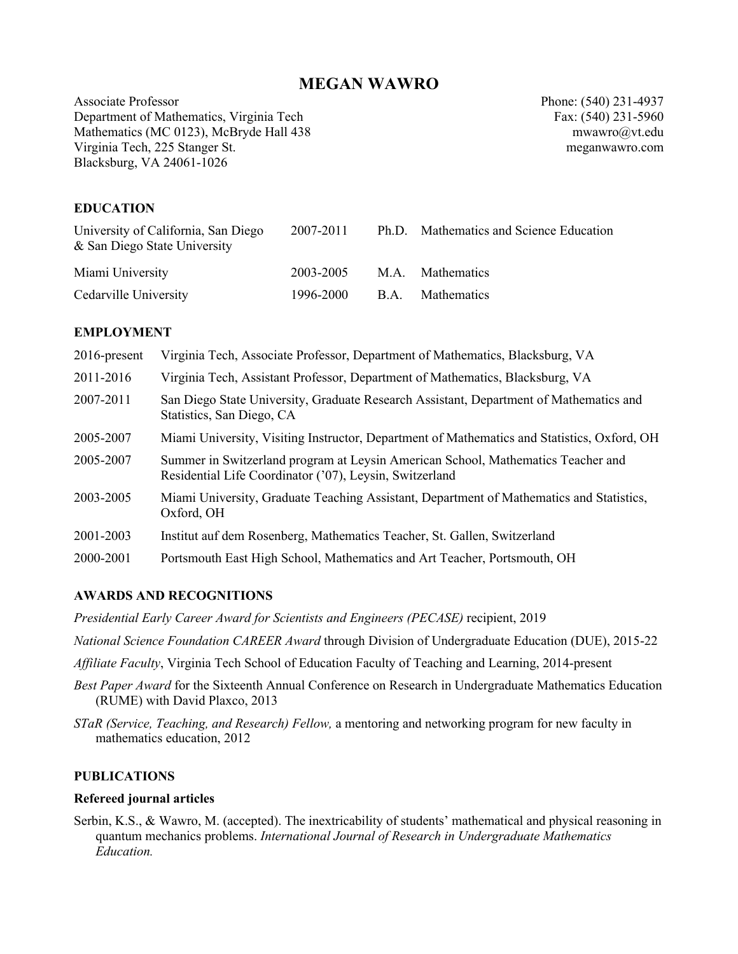# **MEGAN WAWRO**

Associate Professor Phone: (540) 231-4937 Department of Mathematics, Virginia Tech Fax: (540) 231-5960 Mathematics (MC 0123), McBryde Hall 438 mwawrom mwawrom mwawrom mwawrom mwawrom mwawrom mwawrom mwawrom mwawrom mwawrom mwawrom mwawrom mwawrom mwawrom mwawrom mwawrom mwawrom mwawrom mwawrom mwawrom mwawrom mwawrom mwawro Virginia Tech, 225 Stanger St. meganwawro.com Blacksburg, VA 24061-1026

# **EDUCATION**

| University of California, San Diego<br>& San Diego State University | 2007-2011                  | Ph.D. Mathematics and Science Education |
|---------------------------------------------------------------------|----------------------------|-----------------------------------------|
| Miami University                                                    | 2003-2005                  | M.A. Mathematics                        |
| Cedarville University                                               | 1996-2000 B.A. Mathematics |                                         |

#### **EMPLOYMENT**

| $2016$ -present | Virginia Tech, Associate Professor, Department of Mathematics, Blacksburg, VA                                                               |
|-----------------|---------------------------------------------------------------------------------------------------------------------------------------------|
| 2011-2016       | Virginia Tech, Assistant Professor, Department of Mathematics, Blacksburg, VA                                                               |
| 2007-2011       | San Diego State University, Graduate Research Assistant, Department of Mathematics and<br>Statistics, San Diego, CA                         |
| 2005-2007       | Miami University, Visiting Instructor, Department of Mathematics and Statistics, Oxford, OH                                                 |
| 2005-2007       | Summer in Switzerland program at Leysin American School, Mathematics Teacher and<br>Residential Life Coordinator ('07), Leysin, Switzerland |
| 2003-2005       | Miami University, Graduate Teaching Assistant, Department of Mathematics and Statistics,<br>Oxford, OH                                      |
| 2001-2003       | Institut auf dem Rosenberg, Mathematics Teacher, St. Gallen, Switzerland                                                                    |
| 2000-2001       | Portsmouth East High School, Mathematics and Art Teacher, Portsmouth, OH                                                                    |

### **AWARDS AND RECOGNITIONS**

*Presidential Early Career Award for Scientists and Engineers (PECASE)* recipient, 2019

- *National Science Foundation CAREER Award* through Division of Undergraduate Education (DUE), 2015-22
- *Affiliate Faculty*, Virginia Tech School of Education Faculty of Teaching and Learning, 2014-present
- *Best Paper Award* for the Sixteenth Annual Conference on Research in Undergraduate Mathematics Education (RUME) with David Plaxco, 2013
- *STaR (Service, Teaching, and Research) Fellow,* a mentoring and networking program for new faculty in mathematics education, 2012

#### **PUBLICATIONS**

#### **Refereed journal articles**

Serbin, K.S., & Wawro, M. (accepted). The inextricability of students' mathematical and physical reasoning in quantum mechanics problems. *International Journal of Research in Undergraduate Mathematics Education.*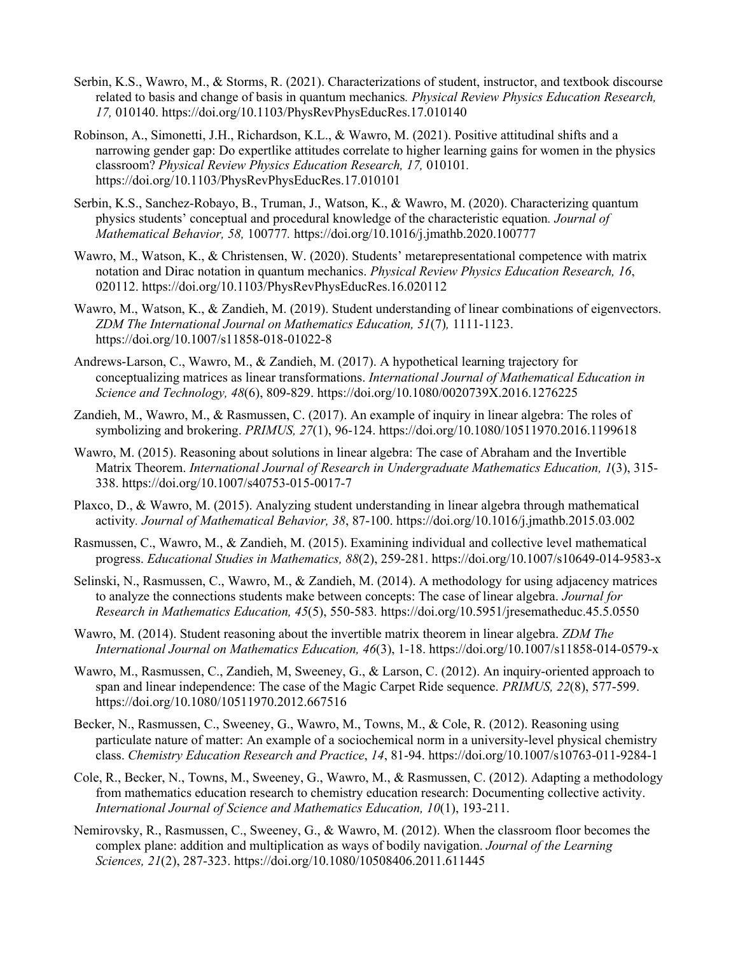- Serbin, K.S., Wawro, M., & Storms, R. (2021). Characterizations of student, instructor, and textbook discourse related to basis and change of basis in quantum mechanics*. Physical Review Physics Education Research, 17,* 010140. https://doi.org/10.1103/PhysRevPhysEducRes.17.010140
- Robinson, A., Simonetti, J.H., Richardson, K.L., & Wawro, M. (2021). Positive attitudinal shifts and a narrowing gender gap: Do expertlike attitudes correlate to higher learning gains for women in the physics classroom? *Physical Review Physics Education Research, 17,* 010101*.* https://doi.org/10.1103/PhysRevPhysEducRes.17.010101
- Serbin, K.S., Sanchez-Robayo, B., Truman, J., Watson, K., & Wawro, M. (2020). Characterizing quantum physics students' conceptual and procedural knowledge of the characteristic equation*. Journal of Mathematical Behavior, 58,* 100777*.* https://doi.org/10.1016/j.jmathb.2020.100777
- Wawro, M., Watson, K., & Christensen, W. (2020). Students' metarepresentational competence with matrix notation and Dirac notation in quantum mechanics. *Physical Review Physics Education Research, 16*, 020112. https://doi.org/10.1103/PhysRevPhysEducRes.16.020112
- Wawro, M., Watson, K., & Zandieh, M. (2019). Student understanding of linear combinations of eigenvectors. *ZDM The International Journal on Mathematics Education, 51*(7)*,* 1111-1123. https://doi.org/10.1007/s11858-018-01022-8
- Andrews-Larson, C., Wawro, M., & Zandieh, M. (2017). A hypothetical learning trajectory for conceptualizing matrices as linear transformations. *International Journal of Mathematical Education in Science and Technology, 48*(6), 809-829. https://doi.org/10.1080/0020739X.2016.1276225
- Zandieh, M., Wawro, M., & Rasmussen, C. (2017). An example of inquiry in linear algebra: The roles of symbolizing and brokering. *PRIMUS, 27*(1), 96-124. https://doi.org/10.1080/10511970.2016.1199618
- Wawro, M. (2015). Reasoning about solutions in linear algebra: The case of Abraham and the Invertible Matrix Theorem. *International Journal of Research in Undergraduate Mathematics Education, 1*(3), 315- 338. https://doi.org/10.1007/s40753-015-0017-7
- Plaxco, D., & Wawro, M. (2015). Analyzing student understanding in linear algebra through mathematical activity*. Journal of Mathematical Behavior, 38*, 87-100. https://doi.org/10.1016/j.jmathb.2015.03.002
- Rasmussen, C., Wawro, M., & Zandieh, M. (2015). Examining individual and collective level mathematical progress. *Educational Studies in Mathematics, 88*(2), 259-281. https://doi.org/10.1007/s10649-014-9583-x
- Selinski, N., Rasmussen, C., Wawro, M., & Zandieh, M. (2014). A methodology for using adjacency matrices to analyze the connections students make between concepts: The case of linear algebra. *Journal for Research in Mathematics Education, 45*(5), 550-583*.* https://doi.org/10.5951/jresematheduc.45.5.0550
- Wawro, M. (2014). Student reasoning about the invertible matrix theorem in linear algebra. *ZDM The International Journal on Mathematics Education, 46*(3), 1-18. https://doi.org/10.1007/s11858-014-0579-x
- Wawro, M., Rasmussen, C., Zandieh, M, Sweeney, G., & Larson, C. (2012). An inquiry-oriented approach to span and linear independence: The case of the Magic Carpet Ride sequence. *PRIMUS, 22*(8), 577-599. https://doi.org/10.1080/10511970.2012.667516
- Becker, N., Rasmussen, C., Sweeney, G., Wawro, M., Towns, M., & Cole, R. (2012). Reasoning using particulate nature of matter: An example of a sociochemical norm in a university-level physical chemistry class. *Chemistry Education Research and Practice*, *14*, 81-94. https://doi.org/10.1007/s10763-011-9284-1
- Cole, R., Becker, N., Towns, M., Sweeney, G., Wawro, M., & Rasmussen, C. (2012). Adapting a methodology from mathematics education research to chemistry education research: Documenting collective activity. *International Journal of Science and Mathematics Education, 10*(1), 193-211.
- Nemirovsky, R., Rasmussen, C., Sweeney, G., & Wawro, M. (2012). When the classroom floor becomes the complex plane: addition and multiplication as ways of bodily navigation. *Journal of the Learning Sciences, 21*(2), 287-323. https://doi.org/10.1080/10508406.2011.611445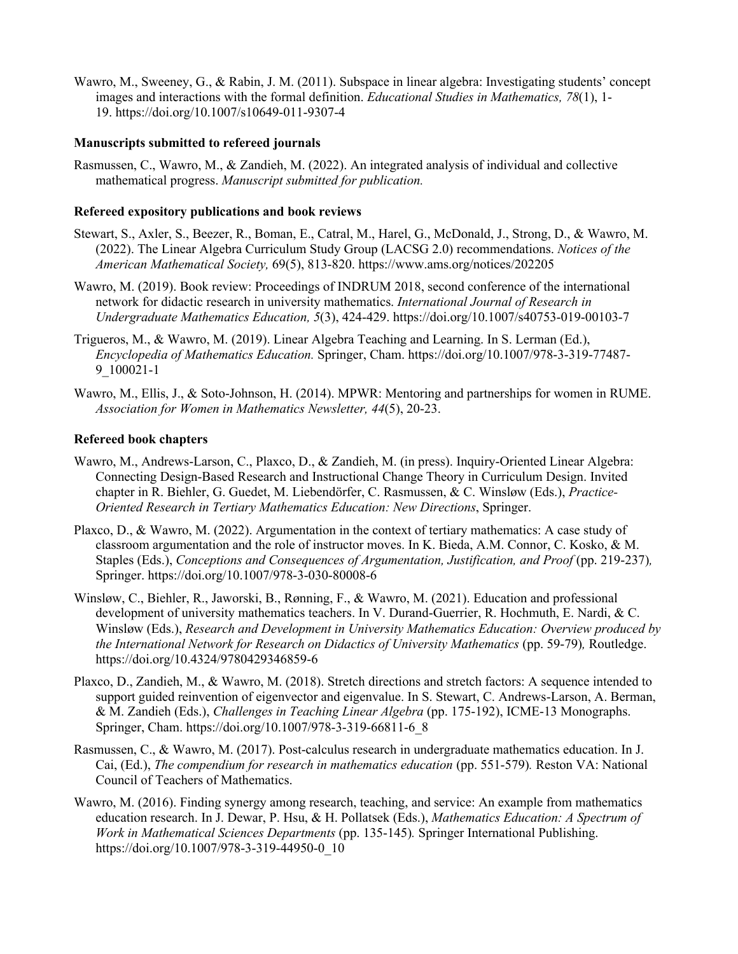Wawro, M., Sweeney, G., & Rabin, J. M. (2011). Subspace in linear algebra: Investigating students' concept images and interactions with the formal definition. *Educational Studies in Mathematics, 78*(1), 1- 19. https://doi.org/10.1007/s10649-011-9307-4

#### **Manuscripts submitted to refereed journals**

Rasmussen, C., Wawro, M., & Zandieh, M. (2022). An integrated analysis of individual and collective mathematical progress. *Manuscript submitted for publication.*

#### **Refereed expository publications and book reviews**

- Stewart, S., Axler, S., Beezer, R., Boman, E., Catral, M., Harel, G., McDonald, J., Strong, D., & Wawro, M. (2022). The Linear Algebra Curriculum Study Group (LACSG 2.0) recommendations. *Notices of the American Mathematical Society,* 69(5), 813-820. https://www.ams.org/notices/202205
- Wawro, M. (2019). Book review: Proceedings of INDRUM 2018, second conference of the international network for didactic research in university mathematics. *International Journal of Research in Undergraduate Mathematics Education, 5*(3), 424-429. https://doi.org/10.1007/s40753-019-00103-7
- Trigueros, M., & Wawro, M. (2019). Linear Algebra Teaching and Learning. In S. Lerman (Ed.), *Encyclopedia of Mathematics Education.* Springer, Cham. https://doi.org/10.1007/978-3-319-77487- 9\_100021-1
- Wawro, M., Ellis, J., & Soto-Johnson, H. (2014). MPWR: Mentoring and partnerships for women in RUME. *Association for Women in Mathematics Newsletter, 44*(5), 20-23.

#### **Refereed book chapters**

- Wawro, M., Andrews-Larson, C., Plaxco, D., & Zandieh, M. (in press). Inquiry-Oriented Linear Algebra: Connecting Design-Based Research and Instructional Change Theory in Curriculum Design. Invited chapter in R. Biehler, G. Guedet, M. Liebendörfer, C. Rasmussen, & C. Winsløw (Eds.), *Practice-Oriented Research in Tertiary Mathematics Education: New Directions*, Springer.
- Plaxco, D., & Wawro, M. (2022). Argumentation in the context of tertiary mathematics: A case study of classroom argumentation and the role of instructor moves. In K. Bieda, A.M. Connor, C. Kosko, & M. Staples (Eds.), *Conceptions and Consequences of Argumentation, Justification, and Proof* (pp. 219-237)*,*  Springer. https://doi.org/10.1007/978-3-030-80008-6
- Winsløw, C., Biehler, R., Jaworski, B., Rønning, F., & Wawro, M. (2021). Education and professional development of university mathematics teachers. In V. Durand-Guerrier, R. Hochmuth, E. Nardi, & C. Winsløw (Eds.), *Research and Development in University Mathematics Education: Overview produced by the International Network for Research on Didactics of University Mathematics* (pp. 59-79)*,* Routledge. https://doi.org/10.4324/9780429346859-6
- Plaxco, D., Zandieh, M., & Wawro, M. (2018). Stretch directions and stretch factors: A sequence intended to support guided reinvention of eigenvector and eigenvalue. In S. Stewart, C. Andrews-Larson, A. Berman, & M. Zandieh (Eds.), *Challenges in Teaching Linear Algebra* (pp. 175-192), ICME-13 Monographs. Springer, Cham. https://doi.org/10.1007/978-3-319-66811-6\_8
- Rasmussen, C., & Wawro, M. (2017). Post-calculus research in undergraduate mathematics education. In J. Cai, (Ed.), *The compendium for research in mathematics education* (pp. 551-579)*.* Reston VA: National Council of Teachers of Mathematics.
- Wawro, M. (2016). Finding synergy among research, teaching, and service: An example from mathematics education research. In J. Dewar, P. Hsu, & H. Pollatsek (Eds.), *Mathematics Education: A Spectrum of Work in Mathematical Sciences Departments* (pp. 135-145)*.* Springer International Publishing. https://doi.org/10.1007/978-3-319-44950-0\_10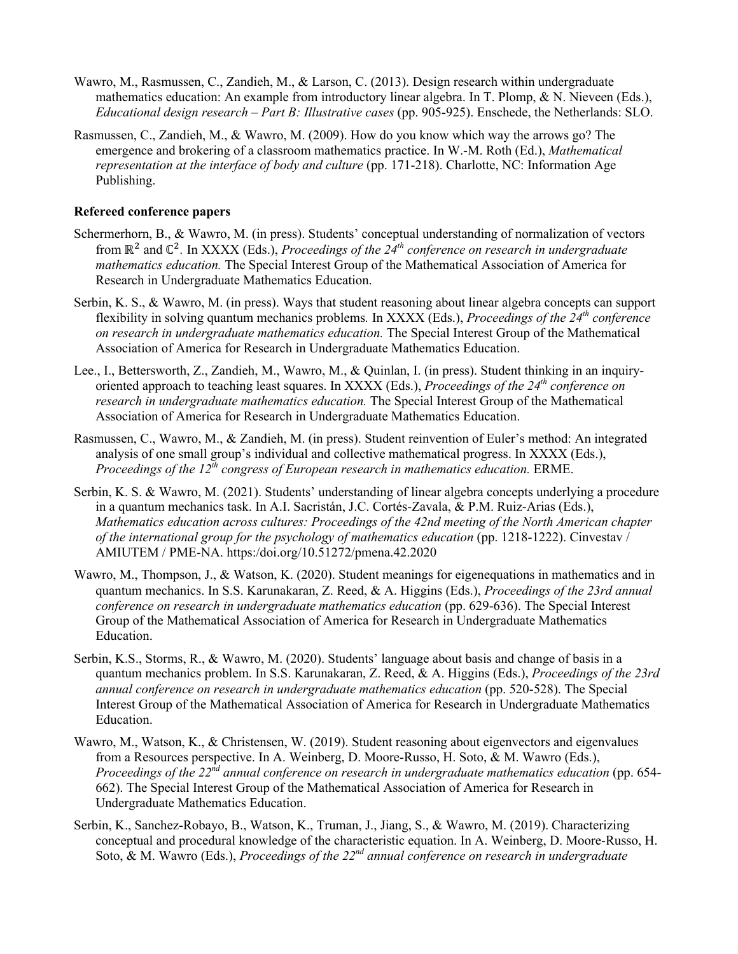- Wawro, M., Rasmussen, C., Zandieh, M., & Larson, C. (2013). Design research within undergraduate mathematics education: An example from introductory linear algebra. In T. Plomp, & N. Nieveen (Eds.), *Educational design research – Part B: Illustrative cases* (pp. 905-925). Enschede, the Netherlands: SLO.
- Rasmussen, C., Zandieh, M., & Wawro, M. (2009). How do you know which way the arrows go? The emergence and brokering of a classroom mathematics practice. In W.-M. Roth (Ed.), *Mathematical representation at the interface of body and culture* (pp. 171-218). Charlotte, NC: Information Age Publishing.

### **Refereed conference papers**

- Schermerhorn, B., & Wawro, M. (in press). Students' conceptual understanding of normalization of vectors from  $\mathbb{R}^2$  and  $\mathbb{C}^2$ . In XXXX (Eds.), *Proceedings of the 24<sup>th</sup> conference on research in undergraduate mathematics education.* The Special Interest Group of the Mathematical Association of America for Research in Undergraduate Mathematics Education.
- Serbin, K. S., & Wawro, M. (in press). Ways that student reasoning about linear algebra concepts can support flexibility in solving quantum mechanics problems*.* In XXXX (Eds.), *Proceedings of the 24th conference on research in undergraduate mathematics education.* The Special Interest Group of the Mathematical Association of America for Research in Undergraduate Mathematics Education.
- Lee., I., Bettersworth, Z., Zandieh, M., Wawro, M., & Quinlan, I. (in press). Student thinking in an inquiryoriented approach to teaching least squares. In XXXX (Eds.), *Proceedings of the 24th conference on research in undergraduate mathematics education.* The Special Interest Group of the Mathematical Association of America for Research in Undergraduate Mathematics Education.
- Rasmussen, C., Wawro, M., & Zandieh, M. (in press). Student reinvention of Euler's method: An integrated analysis of one small group's individual and collective mathematical progress. In XXXX (Eds.), *Proceedings of the 12th congress of European research in mathematics education.* ERME.
- Serbin, K. S. & Wawro, M. (2021). Students' understanding of linear algebra concepts underlying a procedure in a quantum mechanics task. In A.I. Sacristán, J.C. Cortés-Zavala, & P.M. Ruiz-Arias (Eds.), *Mathematics education across cultures: Proceedings of the 42nd meeting of the North American chapter of the international group for the psychology of mathematics education* (pp. 1218-1222). Cinvestav / AMIUTEM / PME-NA. https:/doi.org/10.51272/pmena.42.2020
- Wawro, M., Thompson, J., & Watson, K. (2020). Student meanings for eigenequations in mathematics and in quantum mechanics. In S.S. Karunakaran, Z. Reed, & A. Higgins (Eds.), *Proceedings of the 23rd annual conference on research in undergraduate mathematics education* (pp. 629-636). The Special Interest Group of the Mathematical Association of America for Research in Undergraduate Mathematics Education.
- Serbin, K.S., Storms, R., & Wawro, M. (2020). Students' language about basis and change of basis in a quantum mechanics problem. In S.S. Karunakaran, Z. Reed, & A. Higgins (Eds.), *Proceedings of the 23rd annual conference on research in undergraduate mathematics education* (pp. 520-528). The Special Interest Group of the Mathematical Association of America for Research in Undergraduate Mathematics Education.
- Wawro, M., Watson, K., & Christensen, W. (2019). Student reasoning about eigenvectors and eigenvalues from a Resources perspective. In A. Weinberg, D. Moore-Russo, H. Soto, & M. Wawro (Eds.), *Proceedings of the 22nd annual conference on research in undergraduate mathematics education* (pp. 654- 662). The Special Interest Group of the Mathematical Association of America for Research in Undergraduate Mathematics Education.
- Serbin, K., Sanchez-Robayo, B., Watson, K., Truman, J., Jiang, S., & Wawro, M. (2019). Characterizing conceptual and procedural knowledge of the characteristic equation. In A. Weinberg, D. Moore-Russo, H. Soto, & M. Wawro (Eds.), *Proceedings of the 22nd annual conference on research in undergraduate*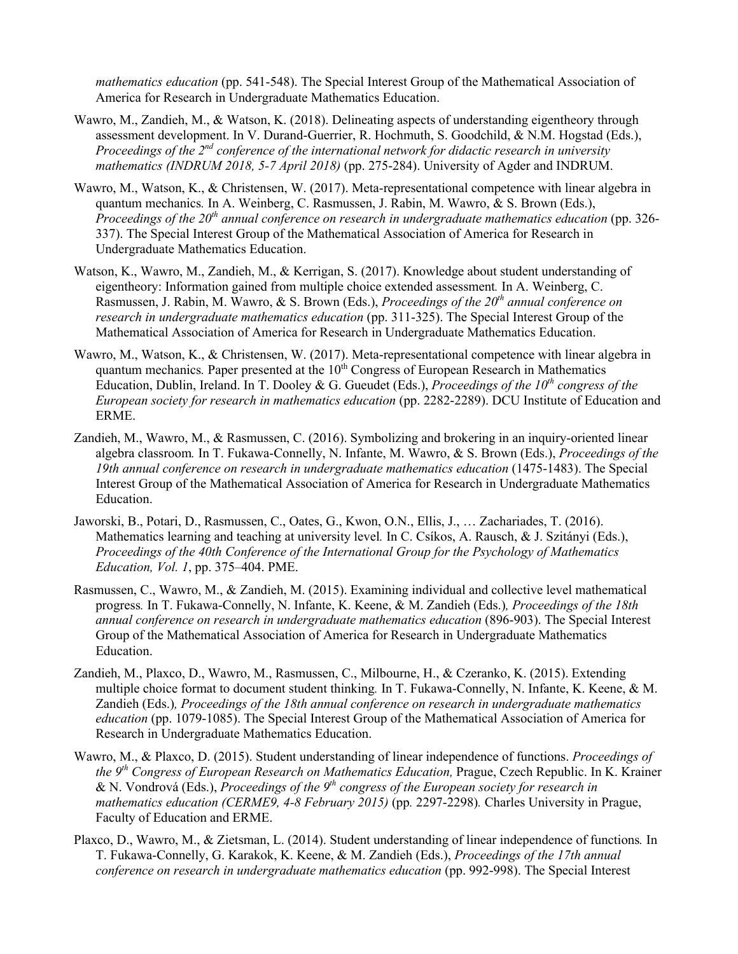*mathematics education* (pp. 541-548). The Special Interest Group of the Mathematical Association of America for Research in Undergraduate Mathematics Education.

- Wawro, M., Zandieh, M., & Watson, K. (2018). Delineating aspects of understanding eigentheory through assessment development. In V. Durand-Guerrier, R. Hochmuth, S. Goodchild, & N.M. Hogstad (Eds.), *Proceedings of the 2nd conference of the international network for didactic research in university mathematics (INDRUM 2018, 5-7 April 2018)* (pp. 275-284). University of Agder and INDRUM.
- Wawro, M., Watson, K., & Christensen, W. (2017). Meta-representational competence with linear algebra in quantum mechanics*.* In A. Weinberg, C. Rasmussen, J. Rabin, M. Wawro, & S. Brown (Eds.), *Proceedings of the 20th annual conference on research in undergraduate mathematics education* (pp. 326- 337). The Special Interest Group of the Mathematical Association of America for Research in Undergraduate Mathematics Education.
- Watson, K., Wawro, M., Zandieh, M., & Kerrigan, S. (2017). Knowledge about student understanding of eigentheory: Information gained from multiple choice extended assessment*.* In A. Weinberg, C. Rasmussen, J. Rabin, M. Wawro, & S. Brown (Eds.), *Proceedings of the 20th annual conference on research in undergraduate mathematics education* (pp. 311-325). The Special Interest Group of the Mathematical Association of America for Research in Undergraduate Mathematics Education.
- Wawro, M., Watson, K., & Christensen, W. (2017). Meta-representational competence with linear algebra in quantum mechanics. Paper presented at the 10<sup>th</sup> Congress of European Research in Mathematics Education, Dublin, Ireland. In T. Dooley & G. Gueudet (Eds.), *Proceedings of the 10th congress of the European society for research in mathematics education* (pp. 2282-2289). DCU Institute of Education and ERME.
- Zandieh, M., Wawro, M., & Rasmussen, C. (2016). Symbolizing and brokering in an inquiry-oriented linear algebra classroom*.* In T. Fukawa-Connelly, N. Infante, M. Wawro, & S. Brown (Eds.), *Proceedings of the 19th annual conference on research in undergraduate mathematics education* (1475-1483). The Special Interest Group of the Mathematical Association of America for Research in Undergraduate Mathematics Education.
- Jaworski, B., Potari, D., Rasmussen, C., Oates, G., Kwon, O.N., Ellis, J., … Zachariades, T. (2016). Mathematics learning and teaching at university level*.* In C. Csíkos, A. Rausch, & J. Szitányi (Eds.), *Proceedings of the 40th Conference of the International Group for the Psychology of Mathematics Education, Vol. 1*, pp. 375–404. PME.
- Rasmussen, C., Wawro, M., & Zandieh, M. (2015). Examining individual and collective level mathematical progress*.* In T. Fukawa-Connelly, N. Infante, K. Keene, & M. Zandieh (Eds.)*, Proceedings of the 18th annual conference on research in undergraduate mathematics education* (896-903). The Special Interest Group of the Mathematical Association of America for Research in Undergraduate Mathematics Education.
- Zandieh, M., Plaxco, D., Wawro, M., Rasmussen, C., Milbourne, H., & Czeranko, K. (2015). Extending multiple choice format to document student thinking*.* In T. Fukawa-Connelly, N. Infante, K. Keene, & M. Zandieh (Eds.)*, Proceedings of the 18th annual conference on research in undergraduate mathematics education* (pp. 1079-1085). The Special Interest Group of the Mathematical Association of America for Research in Undergraduate Mathematics Education.
- Wawro, M., & Plaxco, D. (2015). Student understanding of linear independence of functions. *Proceedings of the 9th Congress of European Research on Mathematics Education,* Prague, Czech Republic. In K. Krainer & N. Vondrová (Eds.), *Proceedings of the 9th congress of the European society for research in mathematics education (CERME9, 4-8 February 2015)* (pp*.* 2297-2298)*.* Charles University in Prague, Faculty of Education and ERME.
- Plaxco, D., Wawro, M., & Zietsman, L. (2014). Student understanding of linear independence of functions*.* In T. Fukawa-Connelly, G. Karakok, K. Keene, & M. Zandieh (Eds.), *Proceedings of the 17th annual conference on research in undergraduate mathematics education* (pp. 992-998). The Special Interest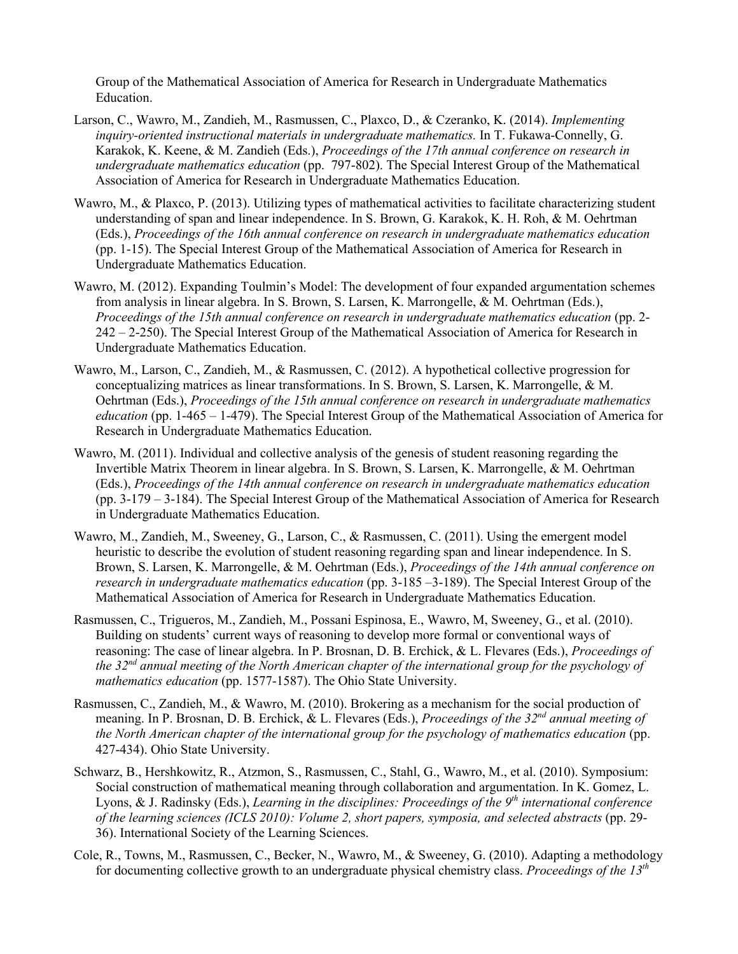Group of the Mathematical Association of America for Research in Undergraduate Mathematics Education.

- Larson, C., Wawro, M., Zandieh, M., Rasmussen, C., Plaxco, D., & Czeranko, K. (2014). *Implementing inquiry-oriented instructional materials in undergraduate mathematics.* In T. Fukawa-Connelly, G. Karakok, K. Keene, & M. Zandieh (Eds.), *Proceedings of the 17th annual conference on research in undergraduate mathematics education* (pp. 797-802). The Special Interest Group of the Mathematical Association of America for Research in Undergraduate Mathematics Education.
- Wawro, M., & Plaxco, P. (2013). Utilizing types of mathematical activities to facilitate characterizing student understanding of span and linear independence. In S. Brown, G. Karakok, K. H. Roh, & M. Oehrtman (Eds.), *Proceedings of the 16th annual conference on research in undergraduate mathematics education* (pp. 1-15). The Special Interest Group of the Mathematical Association of America for Research in Undergraduate Mathematics Education.
- Wawro, M. (2012). Expanding Toulmin's Model: The development of four expanded argumentation schemes from analysis in linear algebra. In S. Brown, S. Larsen, K. Marrongelle, & M. Oehrtman (Eds.), *Proceedings of the 15th annual conference on research in undergraduate mathematics education* (pp. 2- 242 – 2-250). The Special Interest Group of the Mathematical Association of America for Research in Undergraduate Mathematics Education.
- Wawro, M., Larson, C., Zandieh, M., & Rasmussen, C. (2012). A hypothetical collective progression for conceptualizing matrices as linear transformations. In S. Brown, S. Larsen, K. Marrongelle, & M. Oehrtman (Eds.), *Proceedings of the 15th annual conference on research in undergraduate mathematics education* (pp. 1-465 – 1-479). The Special Interest Group of the Mathematical Association of America for Research in Undergraduate Mathematics Education.
- Wawro, M. (2011). Individual and collective analysis of the genesis of student reasoning regarding the Invertible Matrix Theorem in linear algebra. In S. Brown, S. Larsen, K. Marrongelle, & M. Oehrtman (Eds.), *Proceedings of the 14th annual conference on research in undergraduate mathematics education* (pp. 3-179 – 3-184). The Special Interest Group of the Mathematical Association of America for Research in Undergraduate Mathematics Education.
- Wawro, M., Zandieh, M., Sweeney, G., Larson, C., & Rasmussen, C. (2011). Using the emergent model heuristic to describe the evolution of student reasoning regarding span and linear independence. In S. Brown, S. Larsen, K. Marrongelle, & M. Oehrtman (Eds.), *Proceedings of the 14th annual conference on research in undergraduate mathematics education* (pp. 3-185 –3-189). The Special Interest Group of the Mathematical Association of America for Research in Undergraduate Mathematics Education.
- Rasmussen, C., Trigueros, M., Zandieh, M., Possani Espinosa, E., Wawro, M, Sweeney, G., et al. (2010). Building on students' current ways of reasoning to develop more formal or conventional ways of reasoning: The case of linear algebra. In P. Brosnan, D. B. Erchick, & L. Flevares (Eds.), *Proceedings of the 32nd annual meeting of the North American chapter of the international group for the psychology of mathematics education* (pp. 1577-1587). The Ohio State University.
- Rasmussen, C., Zandieh, M., & Wawro, M. (2010). Brokering as a mechanism for the social production of meaning. In P. Brosnan, D. B. Erchick, & L. Flevares (Eds.), *Proceedings of the 32nd annual meeting of the North American chapter of the international group for the psychology of mathematics education* (pp. 427-434). Ohio State University.
- Schwarz, B., Hershkowitz, R., Atzmon, S., Rasmussen, C., Stahl, G., Wawro, M., et al. (2010). Symposium: Social construction of mathematical meaning through collaboration and argumentation. In K. Gomez, L. Lyons, & J. Radinsky (Eds.), *Learning in the disciplines: Proceedings of the 9th international conference of the learning sciences (ICLS 2010): Volume 2, short papers, symposia, and selected abstracts* (pp. 29- 36). International Society of the Learning Sciences.
- Cole, R., Towns, M., Rasmussen, C., Becker, N., Wawro, M., & Sweeney, G. (2010). Adapting a methodology for documenting collective growth to an undergraduate physical chemistry class. *Proceedings of the 13th*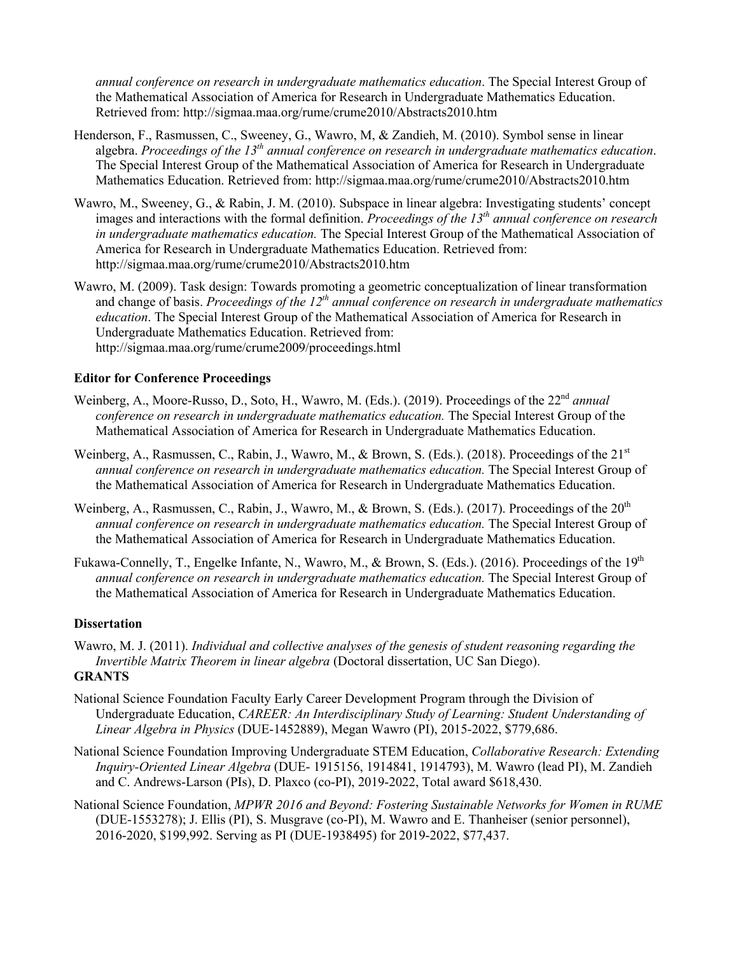*annual conference on research in undergraduate mathematics education*. The Special Interest Group of the Mathematical Association of America for Research in Undergraduate Mathematics Education. Retrieved from: http://sigmaa.maa.org/rume/crume2010/Abstracts2010.htm

- Henderson, F., Rasmussen, C., Sweeney, G., Wawro, M, & Zandieh, M. (2010). Symbol sense in linear algebra. *Proceedings of the 13th annual conference on research in undergraduate mathematics education*. The Special Interest Group of the Mathematical Association of America for Research in Undergraduate Mathematics Education. Retrieved from: http://sigmaa.maa.org/rume/crume2010/Abstracts2010.htm
- Wawro, M., Sweeney, G., & Rabin, J. M. (2010). Subspace in linear algebra: Investigating students' concept images and interactions with the formal definition. *Proceedings of the 13th annual conference on research in undergraduate mathematics education.* The Special Interest Group of the Mathematical Association of America for Research in Undergraduate Mathematics Education. Retrieved from: http://sigmaa.maa.org/rume/crume2010/Abstracts2010.htm
- Wawro, M. (2009). Task design: Towards promoting a geometric conceptualization of linear transformation and change of basis. *Proceedings of the 12th annual conference on research in undergraduate mathematics education*. The Special Interest Group of the Mathematical Association of America for Research in Undergraduate Mathematics Education. Retrieved from: http://sigmaa.maa.org/rume/crume2009/proceedings.html

### **Editor for Conference Proceedings**

- Weinberg, A., Moore-Russo, D., Soto, H., Wawro, M. (Eds.). (2019). Proceedings of the 22<sup>nd</sup> annual *conference on research in undergraduate mathematics education.* The Special Interest Group of the Mathematical Association of America for Research in Undergraduate Mathematics Education.
- Weinberg, A., Rasmussen, C., Rabin, J., Wawro, M., & Brown, S. (Eds.). (2018). Proceedings of the 21<sup>st</sup> *annual conference on research in undergraduate mathematics education.* The Special Interest Group of the Mathematical Association of America for Research in Undergraduate Mathematics Education.
- Weinberg, A., Rasmussen, C., Rabin, J., Wawro, M., & Brown, S. (Eds.). (2017). Proceedings of the 20<sup>th</sup> *annual conference on research in undergraduate mathematics education.* The Special Interest Group of the Mathematical Association of America for Research in Undergraduate Mathematics Education.
- Fukawa-Connelly, T., Engelke Infante, N., Wawro, M., & Brown, S. (Eds.). (2016). Proceedings of the 19<sup>th</sup> *annual conference on research in undergraduate mathematics education.* The Special Interest Group of the Mathematical Association of America for Research in Undergraduate Mathematics Education.

### **Dissertation**

- Wawro, M. J. (2011). *Individual and collective analyses of the genesis of student reasoning regarding the Invertible Matrix Theorem in linear algebra* (Doctoral dissertation, UC San Diego). **GRANTS**
- National Science Foundation Faculty Early Career Development Program through the Division of Undergraduate Education, *CAREER: An Interdisciplinary Study of Learning: Student Understanding of Linear Algebra in Physics* (DUE-1452889), Megan Wawro (PI), 2015-2022, \$779,686.
- National Science Foundation Improving Undergraduate STEM Education, *Collaborative Research: Extending Inquiry-Oriented Linear Algebra* (DUE- 1915156, 1914841, 1914793), M. Wawro (lead PI), M. Zandieh and C. Andrews-Larson (PIs), D. Plaxco (co-PI), 2019-2022, Total award \$618,430.
- National Science Foundation, *MPWR 2016 and Beyond: Fostering Sustainable Networks for Women in RUME* (DUE-1553278); J. Ellis (PI), S. Musgrave (co-PI), M. Wawro and E. Thanheiser (senior personnel), 2016-2020, \$199,992. Serving as PI (DUE-1938495) for 2019-2022, \$77,437.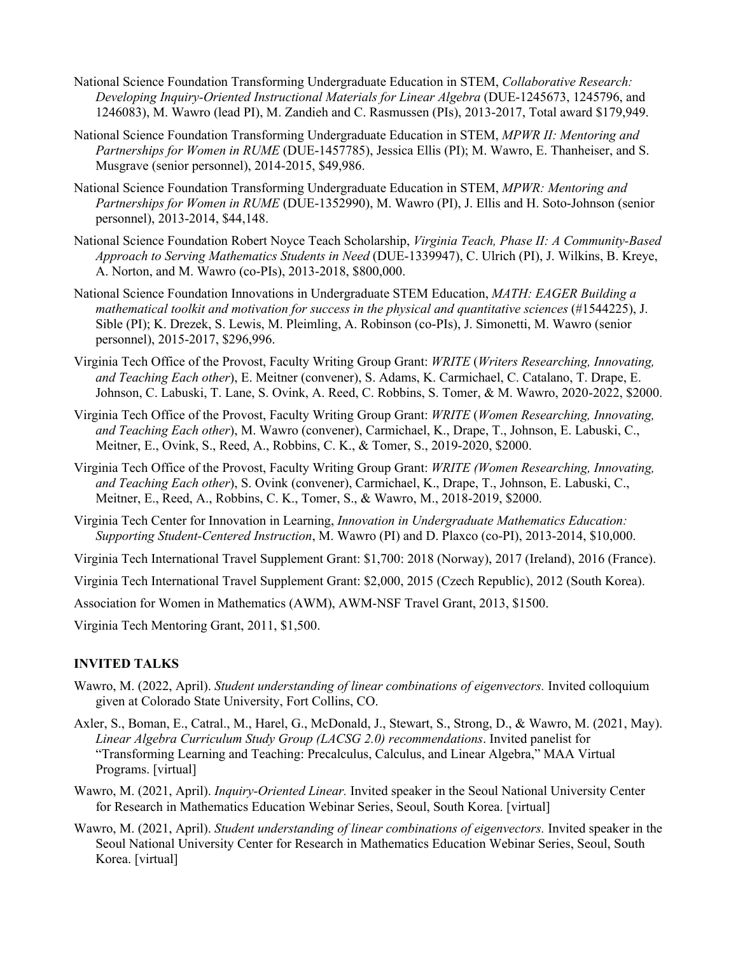- National Science Foundation Transforming Undergraduate Education in STEM, *Collaborative Research: Developing Inquiry-Oriented Instructional Materials for Linear Algebra* (DUE-1245673, 1245796, and 1246083), M. Wawro (lead PI), M. Zandieh and C. Rasmussen (PIs), 2013-2017, Total award \$179,949.
- National Science Foundation Transforming Undergraduate Education in STEM, *MPWR II: Mentoring and Partnerships for Women in RUME* (DUE-1457785), Jessica Ellis (PI); M. Wawro, E. Thanheiser, and S. Musgrave (senior personnel), 2014-2015, \$49,986.
- National Science Foundation Transforming Undergraduate Education in STEM, *MPWR: Mentoring and Partnerships for Women in RUME* (DUE-1352990), M. Wawro (PI), J. Ellis and H. Soto-Johnson (senior personnel), 2013-2014, \$44,148.
- National Science Foundation Robert Noyce Teach Scholarship, *Virginia Teach, Phase II: A Community-Based Approach to Serving Mathematics Students in Need* (DUE-1339947), C. Ulrich (PI), J. Wilkins, B. Kreye, A. Norton, and M. Wawro (co-PIs), 2013-2018, \$800,000.
- National Science Foundation Innovations in Undergraduate STEM Education, *MATH: EAGER Building a mathematical toolkit and motivation for success in the physical and quantitative sciences* (#1544225), J. Sible (PI); K. Drezek, S. Lewis, M. Pleimling, A. Robinson (co-PIs), J. Simonetti, M. Wawro (senior personnel), 2015-2017, \$296,996.
- Virginia Tech Office of the Provost, Faculty Writing Group Grant: *WRITE* (*Writers Researching, Innovating, and Teaching Each other*), E. Meitner (convener), S. Adams, K. Carmichael, C. Catalano, T. Drape, E. Johnson, C. Labuski, T. Lane, S. Ovink, A. Reed, C. Robbins, S. Tomer, & M. Wawro, 2020-2022, \$2000.
- Virginia Tech Office of the Provost, Faculty Writing Group Grant: *WRITE* (*Women Researching, Innovating, and Teaching Each other*), M. Wawro (convener), Carmichael, K., Drape, T., Johnson, E. Labuski, C., Meitner, E., Ovink, S., Reed, A., Robbins, C. K., & Tomer, S., 2019-2020, \$2000.
- Virginia Tech Office of the Provost, Faculty Writing Group Grant: *WRITE (Women Researching, Innovating, and Teaching Each other*), S. Ovink (convener), Carmichael, K., Drape, T., Johnson, E. Labuski, C., Meitner, E., Reed, A., Robbins, C. K., Tomer, S., & Wawro, M., 2018-2019, \$2000.
- Virginia Tech Center for Innovation in Learning, *Innovation in Undergraduate Mathematics Education: Supporting Student-Centered Instruction*, M. Wawro (PI) and D. Plaxco (co-PI), 2013-2014, \$10,000.
- Virginia Tech International Travel Supplement Grant: \$1,700: 2018 (Norway), 2017 (Ireland), 2016 (France).
- Virginia Tech International Travel Supplement Grant: \$2,000, 2015 (Czech Republic), 2012 (South Korea).
- Association for Women in Mathematics (AWM), AWM-NSF Travel Grant, 2013, \$1500.

Virginia Tech Mentoring Grant, 2011, \$1,500.

### **INVITED TALKS**

- Wawro, M. (2022, April). *Student understanding of linear combinations of eigenvectors.* Invited colloquium given at Colorado State University, Fort Collins, CO.
- Axler, S., Boman, E., Catral., M., Harel, G., McDonald, J., Stewart, S., Strong, D., & Wawro, M. (2021, May). *Linear Algebra Curriculum Study Group (LACSG 2.0) recommendations*. Invited panelist for "Transforming Learning and Teaching: Precalculus, Calculus, and Linear Algebra," MAA Virtual Programs. [virtual]
- Wawro, M. (2021, April). *Inquiry-Oriented Linear.* Invited speaker in the Seoul National University Center for Research in Mathematics Education Webinar Series, Seoul, South Korea. [virtual]
- Wawro, M. (2021, April). *Student understanding of linear combinations of eigenvectors.* Invited speaker in the Seoul National University Center for Research in Mathematics Education Webinar Series, Seoul, South Korea. [virtual]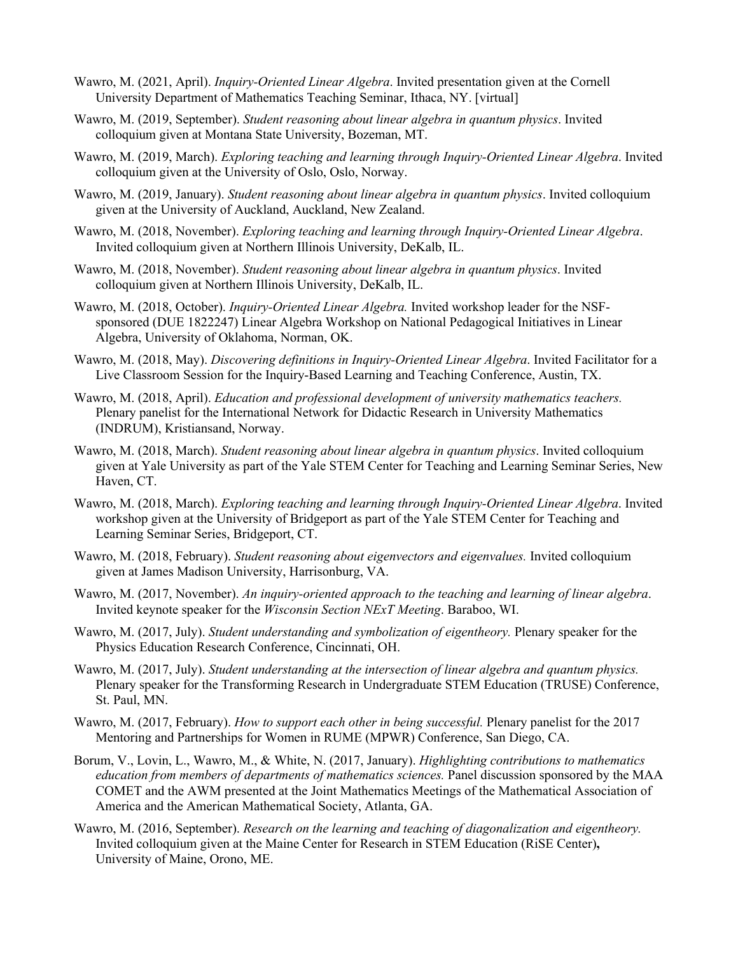- Wawro, M. (2021, April). *Inquiry-Oriented Linear Algebra*. Invited presentation given at the Cornell University Department of Mathematics Teaching Seminar, Ithaca, NY. [virtual]
- Wawro, M. (2019, September). *Student reasoning about linear algebra in quantum physics*. Invited colloquium given at Montana State University, Bozeman, MT.
- Wawro, M. (2019, March). *Exploring teaching and learning through Inquiry-Oriented Linear Algebra*. Invited colloquium given at the University of Oslo, Oslo, Norway.
- Wawro, M. (2019, January). *Student reasoning about linear algebra in quantum physics*. Invited colloquium given at the University of Auckland, Auckland, New Zealand.
- Wawro, M. (2018, November). *Exploring teaching and learning through Inquiry-Oriented Linear Algebra*. Invited colloquium given at Northern Illinois University, DeKalb, IL.
- Wawro, M. (2018, November). *Student reasoning about linear algebra in quantum physics*. Invited colloquium given at Northern Illinois University, DeKalb, IL.
- Wawro, M. (2018, October). *Inquiry-Oriented Linear Algebra.* Invited workshop leader for the NSFsponsored (DUE 1822247) Linear Algebra Workshop on National Pedagogical Initiatives in Linear Algebra, University of Oklahoma, Norman, OK.
- Wawro, M. (2018, May). *Discovering definitions in Inquiry-Oriented Linear Algebra*. Invited Facilitator for a Live Classroom Session for the Inquiry-Based Learning and Teaching Conference, Austin, TX.
- Wawro, M. (2018, April). *Education and professional development of university mathematics teachers.*  Plenary panelist for the International Network for Didactic Research in University Mathematics (INDRUM), Kristiansand, Norway.
- Wawro, M. (2018, March). *Student reasoning about linear algebra in quantum physics*. Invited colloquium given at Yale University as part of the Yale STEM Center for Teaching and Learning Seminar Series, New Haven, CT.
- Wawro, M. (2018, March). *Exploring teaching and learning through Inquiry-Oriented Linear Algebra*. Invited workshop given at the University of Bridgeport as part of the Yale STEM Center for Teaching and Learning Seminar Series, Bridgeport, CT.
- Wawro, M. (2018, February). *Student reasoning about eigenvectors and eigenvalues.* Invited colloquium given at James Madison University, Harrisonburg, VA.
- Wawro, M. (2017, November). *An inquiry-oriented approach to the teaching and learning of linear algebra*. Invited keynote speaker for the *Wisconsin Section NExT Meeting*. Baraboo, WI.
- Wawro, M. (2017, July). *Student understanding and symbolization of eigentheory.* Plenary speaker for the Physics Education Research Conference, Cincinnati, OH.
- Wawro, M. (2017, July). *Student understanding at the intersection of linear algebra and quantum physics.*  Plenary speaker for the Transforming Research in Undergraduate STEM Education (TRUSE) Conference, St. Paul, MN.
- Wawro, M. (2017, February). *How to support each other in being successful.* Plenary panelist for the 2017 Mentoring and Partnerships for Women in RUME (MPWR) Conference, San Diego, CA.
- Borum, V., Lovin, L., Wawro, M., & White, N. (2017, January). *Highlighting contributions to mathematics education from members of departments of mathematics sciences.* Panel discussion sponsored by the MAA COMET and the AWM presented at the Joint Mathematics Meetings of the Mathematical Association of America and the American Mathematical Society, Atlanta, GA.
- Wawro, M. (2016, September). *Research on the learning and teaching of diagonalization and eigentheory.*  Invited colloquium given at the Maine Center for Research in STEM Education (RiSE Center)**,**  University of Maine, Orono, ME.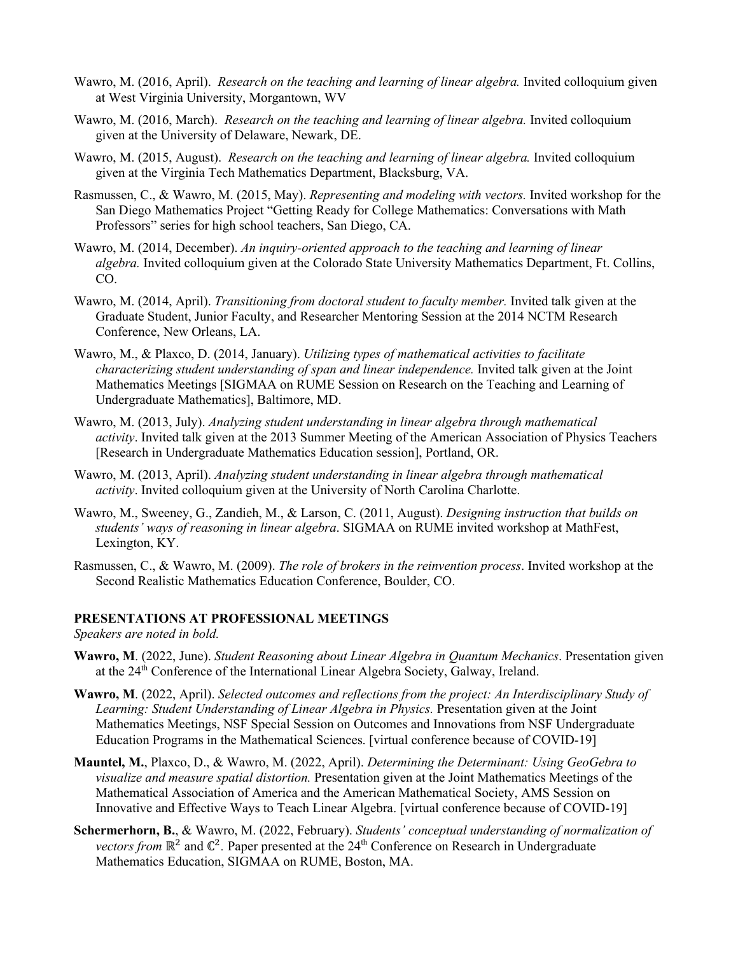- Wawro, M. (2016, April). *Research on the teaching and learning of linear algebra*. Invited colloquium given at West Virginia University, Morgantown, WV
- Wawro, M. (2016, March). *Research on the teaching and learning of linear algebra*. Invited colloquium given at the University of Delaware, Newark, DE.
- Wawro, M. (2015, August). *Research on the teaching and learning of linear algebra*. Invited colloquium given at the Virginia Tech Mathematics Department, Blacksburg, VA.
- Rasmussen, C., & Wawro, M. (2015, May). *Representing and modeling with vectors.* Invited workshop for the San Diego Mathematics Project "Getting Ready for College Mathematics: Conversations with Math Professors" series for high school teachers, San Diego, CA.
- Wawro, M. (2014, December). *An inquiry-oriented approach to the teaching and learning of linear algebra.* Invited colloquium given at the Colorado State University Mathematics Department, Ft. Collins, CO.
- Wawro, M. (2014, April). *Transitioning from doctoral student to faculty member.* Invited talk given at the Graduate Student, Junior Faculty, and Researcher Mentoring Session at the 2014 NCTM Research Conference, New Orleans, LA.
- Wawro, M., & Plaxco, D. (2014, January). *Utilizing types of mathematical activities to facilitate characterizing student understanding of span and linear independence.* Invited talk given at the Joint Mathematics Meetings [SIGMAA on RUME Session on Research on the Teaching and Learning of Undergraduate Mathematics], Baltimore, MD.
- Wawro, M. (2013, July). *Analyzing student understanding in linear algebra through mathematical activity*. Invited talk given at the 2013 Summer Meeting of the American Association of Physics Teachers [Research in Undergraduate Mathematics Education session], Portland, OR.
- Wawro, M. (2013, April). *Analyzing student understanding in linear algebra through mathematical activity*. Invited colloquium given at the University of North Carolina Charlotte.
- Wawro, M., Sweeney, G., Zandieh, M., & Larson, C. (2011, August). *Designing instruction that builds on students' ways of reasoning in linear algebra*. SIGMAA on RUME invited workshop at MathFest, Lexington, KY.
- Rasmussen, C., & Wawro, M. (2009). *The role of brokers in the reinvention process*. Invited workshop at the Second Realistic Mathematics Education Conference, Boulder, CO.

### **PRESENTATIONS AT PROFESSIONAL MEETINGS**

*Speakers are noted in bold.* 

- **Wawro, M**. (2022, June). *Student Reasoning about Linear Algebra in Quantum Mechanics*. Presentation given at the 24<sup>th</sup> Conference of the International Linear Algebra Society, Galway, Ireland.
- **Wawro, M**. (2022, April). *Selected outcomes and reflections from the project: An Interdisciplinary Study of Learning: Student Understanding of Linear Algebra in Physics.* Presentation given at the Joint Mathematics Meetings, NSF Special Session on Outcomes and Innovations from NSF Undergraduate Education Programs in the Mathematical Sciences. [virtual conference because of COVID-19]
- **Mauntel, M.**, Plaxco, D., & Wawro, M. (2022, April). *Determining the Determinant: Using GeoGebra to visualize and measure spatial distortion.* Presentation given at the Joint Mathematics Meetings of the Mathematical Association of America and the American Mathematical Society, AMS Session on Innovative and Effective Ways to Teach Linear Algebra. [virtual conference because of COVID-19]
- **Schermerhorn, B.**, & Wawro, M. (2022, February). *Students' conceptual understanding of normalization of vectors from* ℝ<sup>2</sup> and ℂ<sup>2</sup>. Paper presented at the 24<sup>th</sup> Conference on Research in Undergraduate Mathematics Education, SIGMAA on RUME, Boston, MA.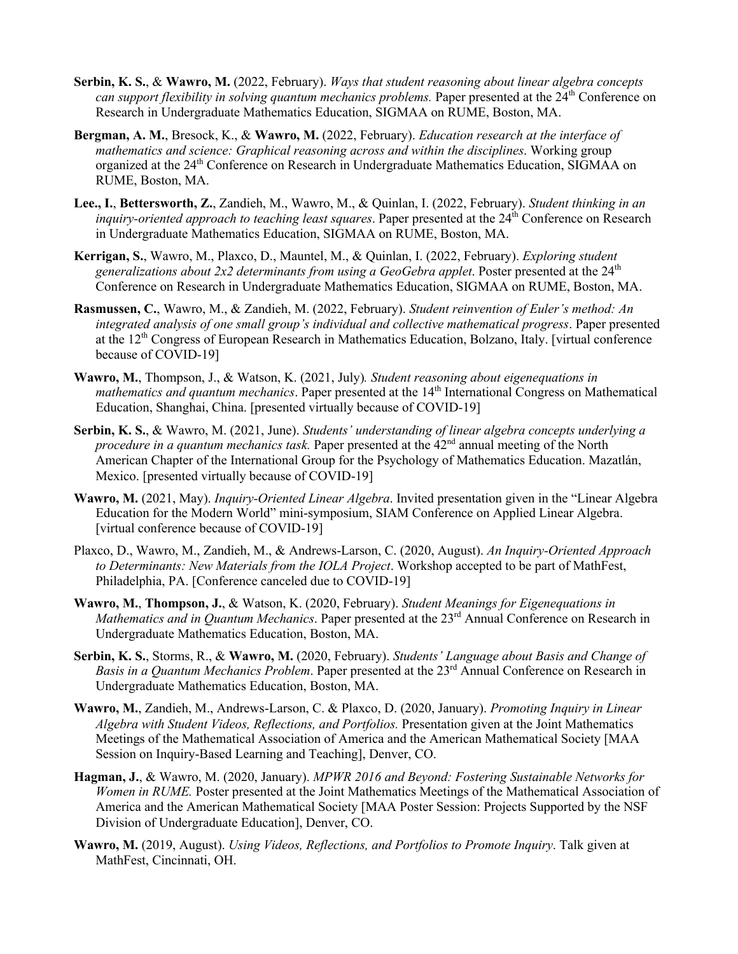- **Serbin, K. S.**, & **Wawro, M.** (2022, February). *Ways that student reasoning about linear algebra concepts can support flexibility in solving quantum mechanics problems.* Paper presented at the 24<sup>th</sup> Conference on Research in Undergraduate Mathematics Education, SIGMAA on RUME, Boston, MA.
- **Bergman, A. M.**, Bresock, K., & **Wawro, M.** (2022, February). *Education research at the interface of mathematics and science: Graphical reasoning across and within the disciplines*. Working group organized at the 24<sup>th</sup> Conference on Research in Undergraduate Mathematics Education, SIGMAA on RUME, Boston, MA.
- **Lee., I.**, **Bettersworth, Z.**, Zandieh, M., Wawro, M., & Quinlan, I. (2022, February). *Student thinking in an inquiry-oriented approach to teaching least squares.* Paper presented at the 24<sup>th</sup> Conference on Research in Undergraduate Mathematics Education, SIGMAA on RUME, Boston, MA.
- **Kerrigan, S.**, Wawro, M., Plaxco, D., Mauntel, M., & Quinlan, I. (2022, February). *Exploring student*  generalizations about 2x2 determinants from using a GeoGebra applet. Poster presented at the 24<sup>th</sup> Conference on Research in Undergraduate Mathematics Education, SIGMAA on RUME, Boston, MA.
- **Rasmussen, C.**, Wawro, M., & Zandieh, M. (2022, February). *Student reinvention of Euler's method: An integrated analysis of one small group's individual and collective mathematical progress*. Paper presented at the  $12<sup>th</sup>$  Congress of European Research in Mathematics Education, Bolzano, Italy. [virtual conference because of COVID-19]
- **Wawro, M.**, Thompson, J., & Watson, K. (2021, July)*. Student reasoning about eigenequations in mathematics and quantum mechanics*. Paper presented at the 14<sup>th</sup> International Congress on Mathematical Education, Shanghai, China. [presented virtually because of COVID-19]
- **Serbin, K. S.**, & Wawro, M. (2021, June). *Students' understanding of linear algebra concepts underlying a procedure in a quantum mechanics task.* Paper presented at the 42<sup>nd</sup> annual meeting of the North American Chapter of the International Group for the Psychology of Mathematics Education. Mazatlán, Mexico. [presented virtually because of COVID-19]
- **Wawro, M.** (2021, May). *Inquiry-Oriented Linear Algebra*. Invited presentation given in the "Linear Algebra Education for the Modern World" mini-symposium, SIAM Conference on Applied Linear Algebra. [virtual conference because of COVID-19]
- Plaxco, D., Wawro, M., Zandieh, M., & Andrews-Larson, C. (2020, August). *An Inquiry-Oriented Approach to Determinants: New Materials from the IOLA Project*. Workshop accepted to be part of MathFest, Philadelphia, PA. [Conference canceled due to COVID-19]
- **Wawro, M.**, **Thompson, J.**, & Watson, K. (2020, February). *Student Meanings for Eigenequations in Mathematics and in Ouantum Mechanics*. Paper presented at the 23<sup>rd</sup> Annual Conference on Research in Undergraduate Mathematics Education, Boston, MA.
- **Serbin, K. S.**, Storms, R., & **Wawro, M.** (2020, February). *Students' Language about Basis and Change of Basis in a Quantum Mechanics Problem*. Paper presented at the 23rd Annual Conference on Research in Undergraduate Mathematics Education, Boston, MA.
- **Wawro, M.**, Zandieh, M., Andrews-Larson, C. & Plaxco, D. (2020, January). *Promoting Inquiry in Linear Algebra with Student Videos, Reflections, and Portfolios.* Presentation given at the Joint Mathematics Meetings of the Mathematical Association of America and the American Mathematical Society [MAA Session on Inquiry-Based Learning and Teaching], Denver, CO.
- **Hagman, J.**, & Wawro, M. (2020, January). *MPWR 2016 and Beyond: Fostering Sustainable Networks for Women in RUME.* Poster presented at the Joint Mathematics Meetings of the Mathematical Association of America and the American Mathematical Society [MAA Poster Session: Projects Supported by the NSF Division of Undergraduate Education], Denver, CO.
- **Wawro, M.** (2019, August). *Using Videos, Reflections, and Portfolios to Promote Inquiry*. Talk given at MathFest, Cincinnati, OH.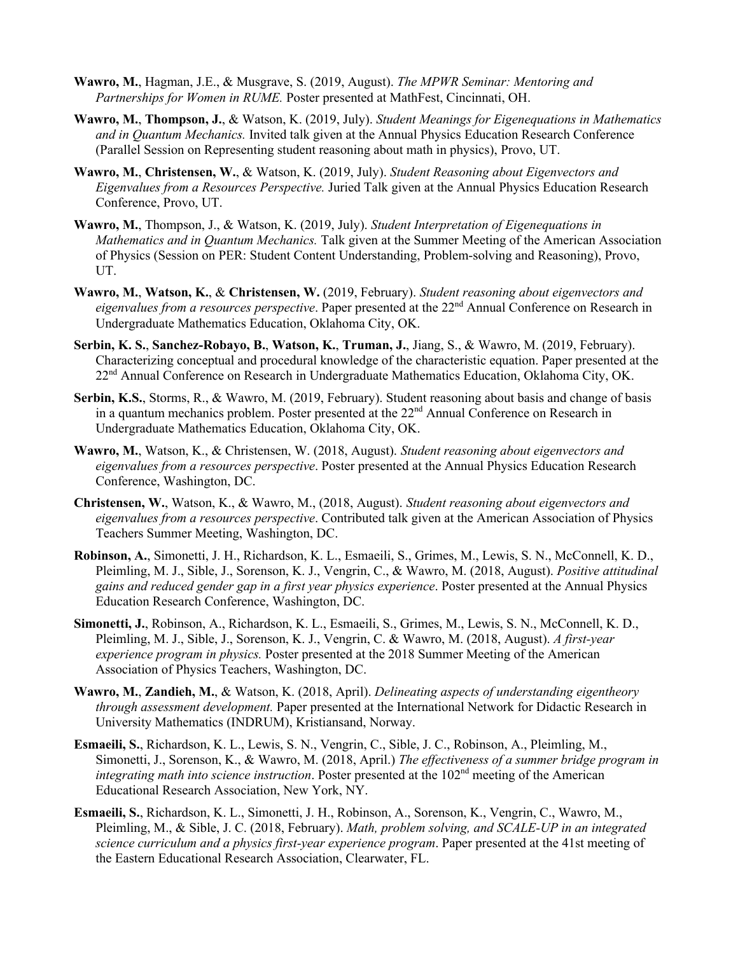- **Wawro, M.**, Hagman, J.E., & Musgrave, S. (2019, August). *The MPWR Seminar: Mentoring and Partnerships for Women in RUME.* Poster presented at MathFest, Cincinnati, OH.
- **Wawro, M.**, **Thompson, J.**, & Watson, K. (2019, July). *Student Meanings for Eigenequations in Mathematics and in Quantum Mechanics.* Invited talk given at the Annual Physics Education Research Conference (Parallel Session on Representing student reasoning about math in physics), Provo, UT.
- **Wawro, M.**, **Christensen, W.**, & Watson, K. (2019, July). *Student Reasoning about Eigenvectors and Eigenvalues from a Resources Perspective.* Juried Talk given at the Annual Physics Education Research Conference, Provo, UT.
- **Wawro, M.**, Thompson, J., & Watson, K. (2019, July). *Student Interpretation of Eigenequations in Mathematics and in Quantum Mechanics.* Talk given at the Summer Meeting of the American Association of Physics (Session on PER: Student Content Understanding, Problem-solving and Reasoning), Provo, UT.
- **Wawro, M.**, **Watson, K.**, & **Christensen, W.** (2019, February). *Student reasoning about eigenvectors and eigenvalues from a resources perspective*. Paper presented at the 22nd Annual Conference on Research in Undergraduate Mathematics Education, Oklahoma City, OK.
- **Serbin, K. S.**, **Sanchez-Robayo, B.**, **Watson, K.**, **Truman, J.**, Jiang, S., & Wawro, M. (2019, February). Characterizing conceptual and procedural knowledge of the characteristic equation. Paper presented at the 22<sup>nd</sup> Annual Conference on Research in Undergraduate Mathematics Education, Oklahoma City, OK.
- **Serbin, K.S.**, Storms, R., & Wawro, M. (2019, February). Student reasoning about basis and change of basis in a quantum mechanics problem. Poster presented at the  $22<sup>nd</sup>$  Annual Conference on Research in Undergraduate Mathematics Education, Oklahoma City, OK.
- **Wawro, M.**, Watson, K., & Christensen, W. (2018, August). *Student reasoning about eigenvectors and eigenvalues from a resources perspective*. Poster presented at the Annual Physics Education Research Conference, Washington, DC.
- **Christensen, W.**, Watson, K., & Wawro, M., (2018, August). *Student reasoning about eigenvectors and eigenvalues from a resources perspective*. Contributed talk given at the American Association of Physics Teachers Summer Meeting, Washington, DC.
- **Robinson, A.**, Simonetti, J. H., Richardson, K. L., Esmaeili, S., Grimes, M., Lewis, S. N., McConnell, K. D., Pleimling, M. J., Sible, J., Sorenson, K. J., Vengrin, C., & Wawro, M. (2018, August). *Positive attitudinal gains and reduced gender gap in a first year physics experience*. Poster presented at the Annual Physics Education Research Conference, Washington, DC.
- **Simonetti, J.**, Robinson, A., Richardson, K. L., Esmaeili, S., Grimes, M., Lewis, S. N., McConnell, K. D., Pleimling, M. J., Sible, J., Sorenson, K. J., Vengrin, C. & Wawro, M. (2018, August). *A first-year experience program in physics.* Poster presented at the 2018 Summer Meeting of the American Association of Physics Teachers, Washington, DC.
- **Wawro, M.**, **Zandieh, M.**, & Watson, K. (2018, April). *Delineating aspects of understanding eigentheory through assessment development.* Paper presented at the International Network for Didactic Research in University Mathematics (INDRUM), Kristiansand, Norway.
- **Esmaeili, S.**, Richardson, K. L., Lewis, S. N., Vengrin, C., Sible, J. C., Robinson, A., Pleimling, M., Simonetti, J., Sorenson, K., & Wawro, M. (2018, April.) *The effectiveness of a summer bridge program in integrating math into science instruction*. Poster presented at the 102<sup>nd</sup> meeting of the American Educational Research Association, New York, NY.
- **Esmaeili, S.**, Richardson, K. L., Simonetti, J. H., Robinson, A., Sorenson, K., Vengrin, C., Wawro, M., Pleimling, M., & Sible, J. C. (2018, February). *Math, problem solving, and SCALE-UP in an integrated science curriculum and a physics first-year experience program*. Paper presented at the 41st meeting of the Eastern Educational Research Association, Clearwater, FL.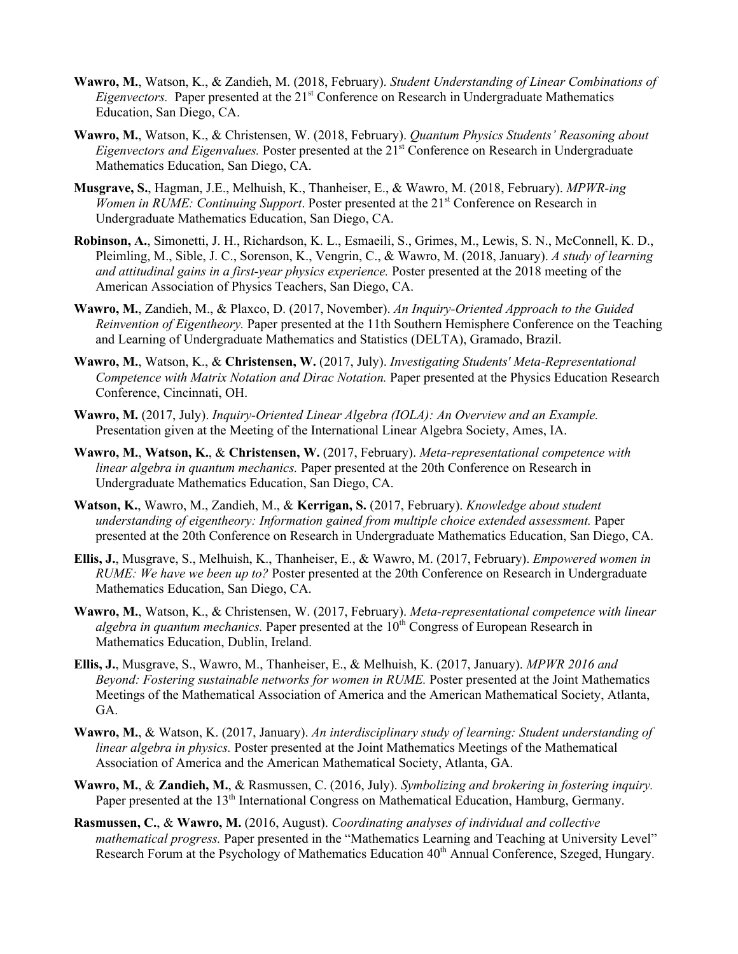- **Wawro, M.**, Watson, K., & Zandieh, M. (2018, February). *Student Understanding of Linear Combinations of Eigenvectors.* Paper presented at the 21<sup>st</sup> Conference on Research in Undergraduate Mathematics Education, San Diego, CA.
- **Wawro, M.**, Watson, K., & Christensen, W. (2018, February). *Quantum Physics Students' Reasoning about Eigenvectors and Eigenvalues.* Poster presented at the 21<sup>st</sup> Conference on Research in Undergraduate Mathematics Education, San Diego, CA.
- **Musgrave, S.**, Hagman, J.E., Melhuish, K., Thanheiser, E., & Wawro, M. (2018, February). *MPWR-ing Women in RUME: Continuing Support.* Poster presented at the 21<sup>st</sup> Conference on Research in Undergraduate Mathematics Education, San Diego, CA.
- **Robinson, A.**, Simonetti, J. H., Richardson, K. L., Esmaeili, S., Grimes, M., Lewis, S. N., McConnell, K. D., Pleimling, M., Sible, J. C., Sorenson, K., Vengrin, C., & Wawro, M. (2018, January). *A study of learning and attitudinal gains in a first-year physics experience.* Poster presented at the 2018 meeting of the American Association of Physics Teachers, San Diego, CA.
- **Wawro, M.**, Zandieh, M., & Plaxco, D. (2017, November). *An Inquiry-Oriented Approach to the Guided Reinvention of Eigentheory.* Paper presented at the 11th Southern Hemisphere Conference on the Teaching and Learning of Undergraduate Mathematics and Statistics (DELTA), Gramado, Brazil.
- **Wawro, M.**, Watson, K., & **Christensen, W.** (2017, July). *Investigating Students' Meta-Representational Competence with Matrix Notation and Dirac Notation.* Paper presented at the Physics Education Research Conference, Cincinnati, OH.
- **Wawro, M.** (2017, July). *Inquiry-Oriented Linear Algebra (IOLA): An Overview and an Example.*  Presentation given at the Meeting of the International Linear Algebra Society, Ames, IA.
- **Wawro, M.**, **Watson, K.**, & **Christensen, W.** (2017, February). *Meta-representational competence with linear algebra in quantum mechanics.* Paper presented at the 20th Conference on Research in Undergraduate Mathematics Education, San Diego, CA.
- **Watson, K.**, Wawro, M., Zandieh, M., & **Kerrigan, S.** (2017, February). *Knowledge about student understanding of eigentheory: Information gained from multiple choice extended assessment.* Paper presented at the 20th Conference on Research in Undergraduate Mathematics Education, San Diego, CA.
- **Ellis, J.**, Musgrave, S., Melhuish, K., Thanheiser, E., & Wawro, M. (2017, February). *Empowered women in RUME: We have we been up to?* Poster presented at the 20th Conference on Research in Undergraduate Mathematics Education, San Diego, CA.
- **Wawro, M.**, Watson, K., & Christensen, W. (2017, February). *Meta-representational competence with linear algebra in quantum mechanics.* Paper presented at the 10<sup>th</sup> Congress of European Research in Mathematics Education, Dublin, Ireland.
- **Ellis, J.**, Musgrave, S., Wawro, M., Thanheiser, E., & Melhuish, K. (2017, January). *MPWR 2016 and Beyond: Fostering sustainable networks for women in RUME.* Poster presented at the Joint Mathematics Meetings of the Mathematical Association of America and the American Mathematical Society, Atlanta, GA.
- **Wawro, M.**, & Watson, K. (2017, January). *An interdisciplinary study of learning: Student understanding of linear algebra in physics.* Poster presented at the Joint Mathematics Meetings of the Mathematical Association of America and the American Mathematical Society, Atlanta, GA.
- **Wawro, M.**, & **Zandieh, M.**, & Rasmussen, C. (2016, July). *Symbolizing and brokering in fostering inquiry.*  Paper presented at the 13<sup>th</sup> International Congress on Mathematical Education, Hamburg, Germany.
- **Rasmussen, C.**, & **Wawro, M.** (2016, August). *Coordinating analyses of individual and collective mathematical progress.* Paper presented in the "Mathematics Learning and Teaching at University Level" Research Forum at the Psychology of Mathematics Education  $40<sup>th</sup>$  Annual Conference, Szeged, Hungary.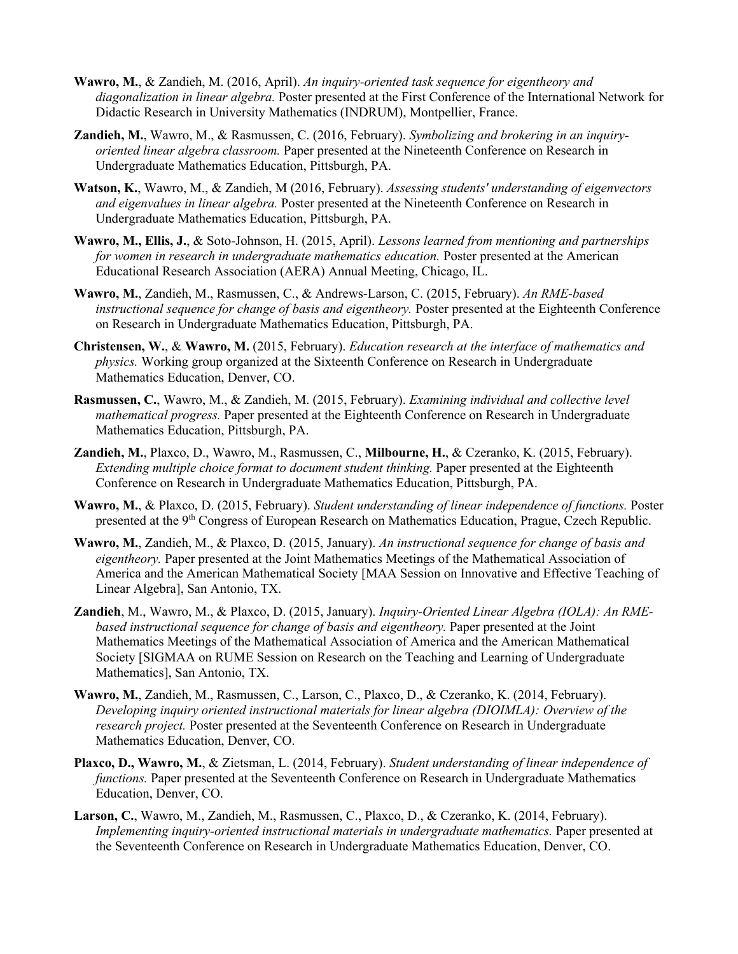- **Wawro, M.**, & Zandieh, M. (2016, April). *An inquiry-oriented task sequence for eigentheory and diagonalization in linear algebra.* Poster presented at the First Conference of the International Network for Didactic Research in University Mathematics (INDRUM), Montpellier, France.
- **Zandieh, M.**, Wawro, M., & Rasmussen, C. (2016, February). *Symbolizing and brokering in an inquiryoriented linear algebra classroom.* Paper presented at the Nineteenth Conference on Research in Undergraduate Mathematics Education, Pittsburgh, PA.
- **Watson, K.**, Wawro, M., & Zandieh, M (2016, February). *Assessing students' understanding of eigenvectors and eigenvalues in linear algebra.* Poster presented at the Nineteenth Conference on Research in Undergraduate Mathematics Education, Pittsburgh, PA.
- **Wawro, M., Ellis, J.**, & Soto-Johnson, H. (2015, April). *Lessons learned from mentioning and partnerships for women in research in undergraduate mathematics education.* Poster presented at the American Educational Research Association (AERA) Annual Meeting, Chicago, IL.
- **Wawro, M.**, Zandieh, M., Rasmussen, C., & Andrews-Larson, C. (2015, February). *An RME-based instructional sequence for change of basis and eigentheory.* Poster presented at the Eighteenth Conference on Research in Undergraduate Mathematics Education, Pittsburgh, PA.
- **Christensen, W.**, & **Wawro, M.** (2015, February). *Education research at the interface of mathematics and physics.* Working group organized at the Sixteenth Conference on Research in Undergraduate Mathematics Education, Denver, CO.
- **Rasmussen, C.**, Wawro, M., & Zandieh, M. (2015, February). *Examining individual and collective level mathematical progress.* Paper presented at the Eighteenth Conference on Research in Undergraduate Mathematics Education, Pittsburgh, PA.
- **Zandieh, M.**, Plaxco, D., Wawro, M., Rasmussen, C., **Milbourne, H.**, & Czeranko, K. (2015, February). *Extending multiple choice format to document student thinking.* Paper presented at the Eighteenth Conference on Research in Undergraduate Mathematics Education, Pittsburgh, PA.
- **Wawro, M.**, & Plaxco, D. (2015, February). *Student understanding of linear independence of functions.* Poster presented at the 9<sup>th</sup> Congress of European Research on Mathematics Education, Prague, Czech Republic.
- **Wawro, M.**, Zandieh, M., & Plaxco, D. (2015, January). *An instructional sequence for change of basis and eigentheory.* Paper presented at the Joint Mathematics Meetings of the Mathematical Association of America and the American Mathematical Society [MAA Session on Innovative and Effective Teaching of Linear Algebra], San Antonio, TX.
- **Zandieh**, M., Wawro, M., & Plaxco, D. (2015, January). *Inquiry-Oriented Linear Algebra (IOLA): An RMEbased instructional sequence for change of basis and eigentheory.* Paper presented at the Joint Mathematics Meetings of the Mathematical Association of America and the American Mathematical Society [SIGMAA on RUME Session on Research on the Teaching and Learning of Undergraduate Mathematics], San Antonio, TX.
- **Wawro, M.**, Zandieh, M., Rasmussen, C., Larson, C., Plaxco, D., & Czeranko, K. (2014, February). *Developing inquiry oriented instructional materials for linear algebra (DIOIMLA): Overview of the research project.* Poster presented at the Seventeenth Conference on Research in Undergraduate Mathematics Education, Denver, CO.
- **Plaxco, D., Wawro, M.**, & Zietsman, L. (2014, February). *Student understanding of linear independence of functions.* Paper presented at the Seventeenth Conference on Research in Undergraduate Mathematics Education, Denver, CO.
- **Larson, C.**, Wawro, M., Zandieh, M., Rasmussen, C., Plaxco, D., & Czeranko, K. (2014, February). *Implementing inquiry-oriented instructional materials in undergraduate mathematics.* Paper presented at the Seventeenth Conference on Research in Undergraduate Mathematics Education, Denver, CO.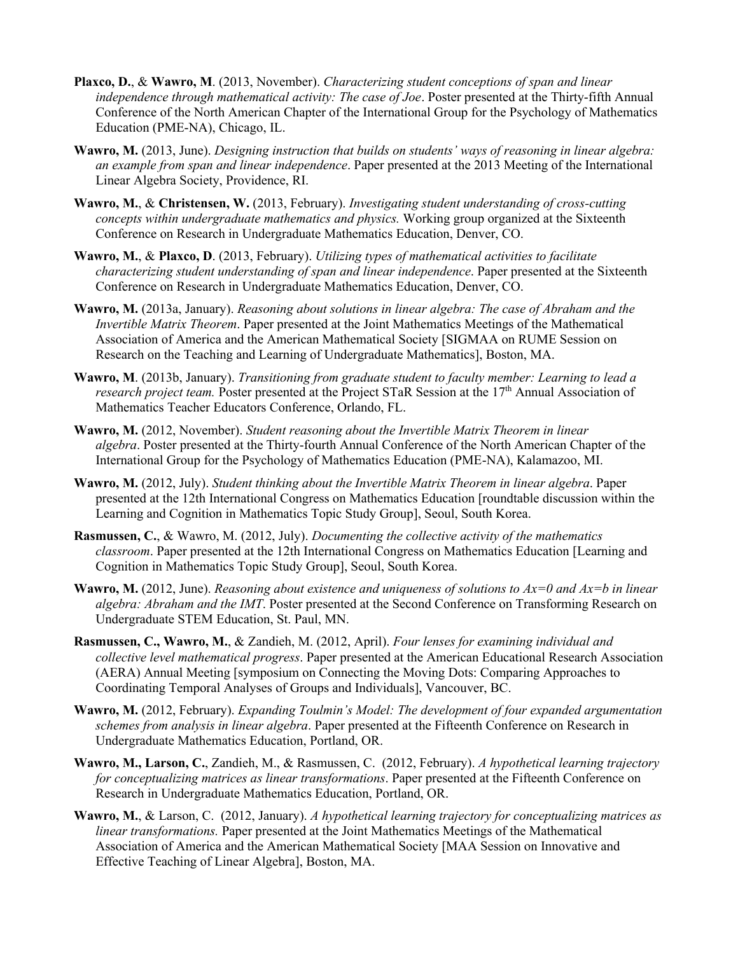- **Plaxco, D.**, & **Wawro, M**. (2013, November). *Characterizing student conceptions of span and linear independence through mathematical activity: The case of Joe*. Poster presented at the Thirty-fifth Annual Conference of the North American Chapter of the International Group for the Psychology of Mathematics Education (PME-NA), Chicago, IL.
- **Wawro, M.** (2013, June). *Designing instruction that builds on students' ways of reasoning in linear algebra: an example from span and linear independence*. Paper presented at the 2013 Meeting of the International Linear Algebra Society, Providence, RI.
- **Wawro, M.**, & **Christensen, W.** (2013, February). *Investigating student understanding of cross-cutting concepts within undergraduate mathematics and physics.* Working group organized at the Sixteenth Conference on Research in Undergraduate Mathematics Education, Denver, CO.
- **Wawro, M.**, & **Plaxco, D**. (2013, February). *Utilizing types of mathematical activities to facilitate characterizing student understanding of span and linear independence*. Paper presented at the Sixteenth Conference on Research in Undergraduate Mathematics Education, Denver, CO.
- **Wawro, M.** (2013a, January). *Reasoning about solutions in linear algebra: The case of Abraham and the Invertible Matrix Theorem*. Paper presented at the Joint Mathematics Meetings of the Mathematical Association of America and the American Mathematical Society [SIGMAA on RUME Session on Research on the Teaching and Learning of Undergraduate Mathematics], Boston, MA.
- **Wawro, M**. (2013b, January). *Transitioning from graduate student to faculty member: Learning to lead a research project team.* Poster presented at the Project STaR Session at the 17<sup>th</sup> Annual Association of Mathematics Teacher Educators Conference, Orlando, FL.
- **Wawro, M.** (2012, November). *Student reasoning about the Invertible Matrix Theorem in linear algebra*. Poster presented at the Thirty-fourth Annual Conference of the North American Chapter of the International Group for the Psychology of Mathematics Education (PME-NA), Kalamazoo, MI.
- **Wawro, M.** (2012, July). *Student thinking about the Invertible Matrix Theorem in linear algebra*. Paper presented at the 12th International Congress on Mathematics Education [roundtable discussion within the Learning and Cognition in Mathematics Topic Study Group], Seoul, South Korea.
- **Rasmussen, C.**, & Wawro, M. (2012, July). *Documenting the collective activity of the mathematics classroom*. Paper presented at the 12th International Congress on Mathematics Education [Learning and Cognition in Mathematics Topic Study Group], Seoul, South Korea.
- **Wawro, M.** (2012, June). *Reasoning about existence and uniqueness of solutions to Ax=0 and Ax=b in linear algebra: Abraham and the IMT*. Poster presented at the Second Conference on Transforming Research on Undergraduate STEM Education, St. Paul, MN.
- **Rasmussen, C., Wawro, M.**, & Zandieh, M. (2012, April). *Four lenses for examining individual and collective level mathematical progress*. Paper presented at the American Educational Research Association (AERA) Annual Meeting [symposium on Connecting the Moving Dots: Comparing Approaches to Coordinating Temporal Analyses of Groups and Individuals], Vancouver, BC.
- **Wawro, M.** (2012, February). *Expanding Toulmin's Model: The development of four expanded argumentation schemes from analysis in linear algebra*. Paper presented at the Fifteenth Conference on Research in Undergraduate Mathematics Education, Portland, OR.
- **Wawro, M., Larson, C.**, Zandieh, M., & Rasmussen, C. (2012, February). *A hypothetical learning trajectory for conceptualizing matrices as linear transformations*. Paper presented at the Fifteenth Conference on Research in Undergraduate Mathematics Education, Portland, OR.
- **Wawro, M.**, & Larson, C. (2012, January). *A hypothetical learning trajectory for conceptualizing matrices as linear transformations.* Paper presented at the Joint Mathematics Meetings of the Mathematical Association of America and the American Mathematical Society [MAA Session on Innovative and Effective Teaching of Linear Algebra], Boston, MA.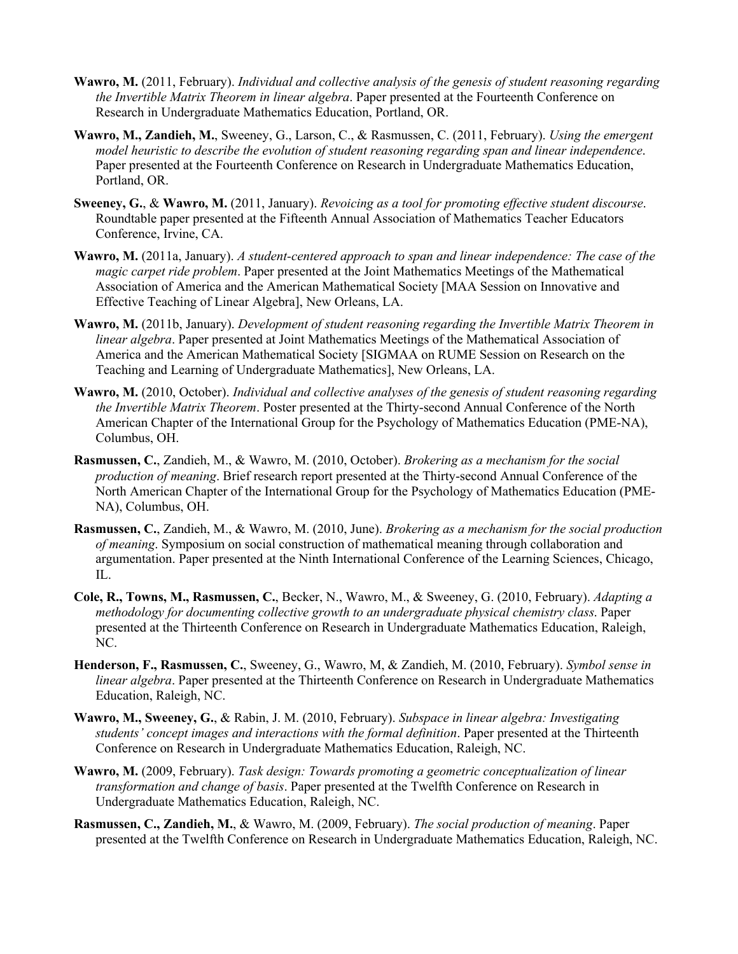- **Wawro, M.** (2011, February). *Individual and collective analysis of the genesis of student reasoning regarding the Invertible Matrix Theorem in linear algebra*. Paper presented at the Fourteenth Conference on Research in Undergraduate Mathematics Education, Portland, OR.
- **Wawro, M., Zandieh, M.**, Sweeney, G., Larson, C., & Rasmussen, C. (2011, February). *Using the emergent model heuristic to describe the evolution of student reasoning regarding span and linear independence*. Paper presented at the Fourteenth Conference on Research in Undergraduate Mathematics Education, Portland, OR.
- **Sweeney, G.**, & **Wawro, M.** (2011, January). *Revoicing as a tool for promoting effective student discourse*. Roundtable paper presented at the Fifteenth Annual Association of Mathematics Teacher Educators Conference, Irvine, CA.
- **Wawro, M.** (2011a, January). *A student-centered approach to span and linear independence: The case of the magic carpet ride problem*. Paper presented at the Joint Mathematics Meetings of the Mathematical Association of America and the American Mathematical Society [MAA Session on Innovative and Effective Teaching of Linear Algebra], New Orleans, LA.
- **Wawro, M.** (2011b, January). *Development of student reasoning regarding the Invertible Matrix Theorem in linear algebra*. Paper presented at Joint Mathematics Meetings of the Mathematical Association of America and the American Mathematical Society [SIGMAA on RUME Session on Research on the Teaching and Learning of Undergraduate Mathematics], New Orleans, LA.
- **Wawro, M.** (2010, October). *Individual and collective analyses of the genesis of student reasoning regarding the Invertible Matrix Theorem*. Poster presented at the Thirty-second Annual Conference of the North American Chapter of the International Group for the Psychology of Mathematics Education (PME-NA), Columbus, OH.
- **Rasmussen, C.**, Zandieh, M., & Wawro, M. (2010, October). *Brokering as a mechanism for the social production of meaning*. Brief research report presented at the Thirty-second Annual Conference of the North American Chapter of the International Group for the Psychology of Mathematics Education (PME-NA), Columbus, OH.
- **Rasmussen, C.**, Zandieh, M., & Wawro, M. (2010, June). *Brokering as a mechanism for the social production of meaning*. Symposium on social construction of mathematical meaning through collaboration and argumentation. Paper presented at the Ninth International Conference of the Learning Sciences, Chicago, IL.
- **Cole, R., Towns, M., Rasmussen, C.**, Becker, N., Wawro, M., & Sweeney, G. (2010, February). *Adapting a methodology for documenting collective growth to an undergraduate physical chemistry class*. Paper presented at the Thirteenth Conference on Research in Undergraduate Mathematics Education, Raleigh, NC.
- **Henderson, F., Rasmussen, C.**, Sweeney, G., Wawro, M, & Zandieh, M. (2010, February). *Symbol sense in linear algebra*. Paper presented at the Thirteenth Conference on Research in Undergraduate Mathematics Education, Raleigh, NC.
- **Wawro, M., Sweeney, G.**, & Rabin, J. M. (2010, February). *Subspace in linear algebra: Investigating students' concept images and interactions with the formal definition*. Paper presented at the Thirteenth Conference on Research in Undergraduate Mathematics Education, Raleigh, NC.
- **Wawro, M.** (2009, February). *Task design: Towards promoting a geometric conceptualization of linear transformation and change of basis*. Paper presented at the Twelfth Conference on Research in Undergraduate Mathematics Education, Raleigh, NC.
- **Rasmussen, C., Zandieh, M.**, & Wawro, M. (2009, February). *The social production of meaning*. Paper presented at the Twelfth Conference on Research in Undergraduate Mathematics Education, Raleigh, NC.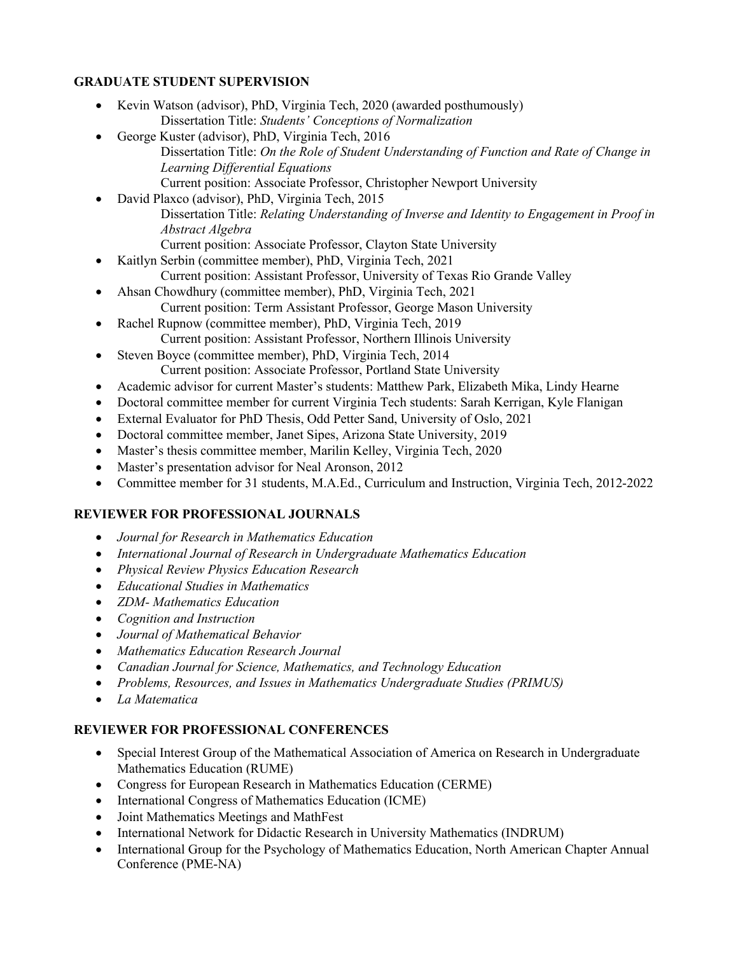# **GRADUATE STUDENT SUPERVISION**

- Kevin Watson (advisor), PhD, Virginia Tech, 2020 (awarded posthumously) Dissertation Title: *Students' Conceptions of Normalization*
- George Kuster (advisor), PhD, Virginia Tech, 2016 Dissertation Title: *On the Role of Student Understanding of Function and Rate of Change in Learning Differential Equations* Current position: Associate Professor, Christopher Newport University
- David Plaxco (advisor), PhD, Virginia Tech, 2015 Dissertation Title: *Relating Understanding of Inverse and Identity to Engagement in Proof in Abstract Algebra* Current position: Associate Professor, Clayton State University
- Kaitlyn Serbin (committee member), PhD, Virginia Tech, 2021
	- Current position: Assistant Professor, University of Texas Rio Grande Valley
- Ahsan Chowdhury (committee member), PhD, Virginia Tech, 2021 Current position: Term Assistant Professor, George Mason University
- Rachel Rupnow (committee member), PhD, Virginia Tech, 2019 Current position: Assistant Professor, Northern Illinois University
- Steven Boyce (committee member), PhD, Virginia Tech, 2014 Current position: Associate Professor, Portland State University
- Academic advisor for current Master's students: Matthew Park, Elizabeth Mika, Lindy Hearne
- Doctoral committee member for current Virginia Tech students: Sarah Kerrigan, Kyle Flanigan
- External Evaluator for PhD Thesis, Odd Petter Sand, University of Oslo, 2021
- Doctoral committee member, Janet Sipes, Arizona State University, 2019
- Master's thesis committee member, Marilin Kelley, Virginia Tech, 2020
- Master's presentation advisor for Neal Aronson, 2012
- Committee member for 31 students, M.A.Ed., Curriculum and Instruction, Virginia Tech, 2012-2022

# **REVIEWER FOR PROFESSIONAL JOURNALS**

- *Journal for Research in Mathematics Education*
- *International Journal of Research in Undergraduate Mathematics Education*
- *Physical Review Physics Education Research*
- *Educational Studies in Mathematics*
- *ZDM- Mathematics Education*
- *Cognition and Instruction*
- *Journal of Mathematical Behavior*
- *Mathematics Education Research Journal*
- *Canadian Journal for Science, Mathematics, and Technology Education*
- *Problems, Resources, and Issues in Mathematics Undergraduate Studies (PRIMUS)*
- *La Matematica*

# **REVIEWER FOR PROFESSIONAL CONFERENCES**

- Special Interest Group of the Mathematical Association of America on Research in Undergraduate Mathematics Education (RUME)
- Congress for European Research in Mathematics Education (CERME)
- International Congress of Mathematics Education (ICME)
- Joint Mathematics Meetings and MathFest
- International Network for Didactic Research in University Mathematics (INDRUM)
- International Group for the Psychology of Mathematics Education, North American Chapter Annual Conference (PME-NA)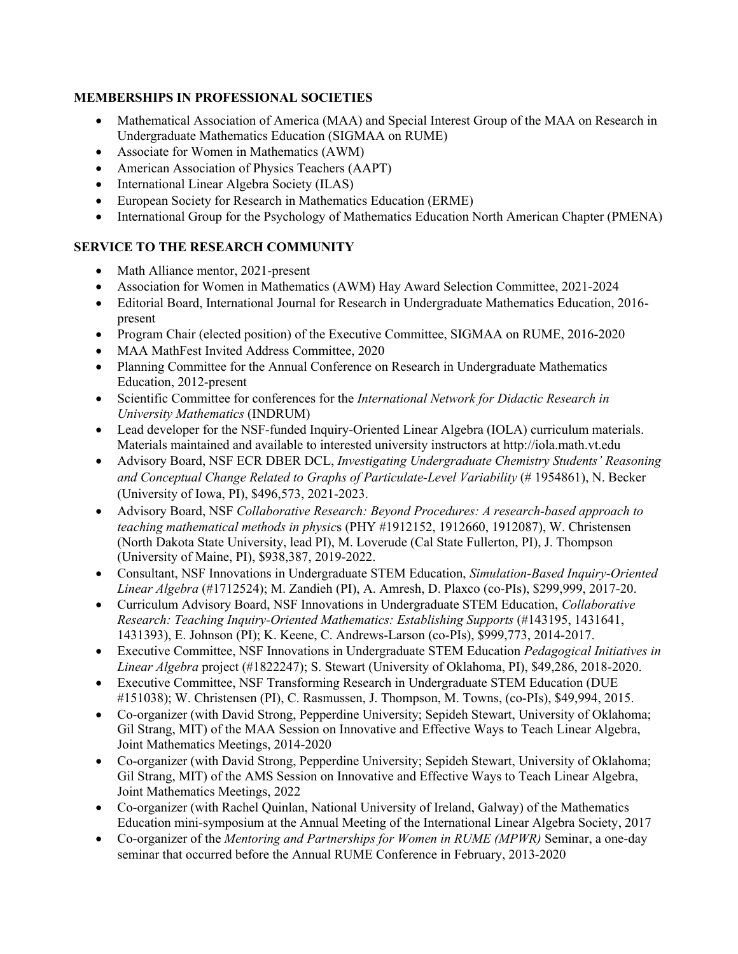# **MEMBERSHIPS IN PROFESSIONAL SOCIETIES**

- Mathematical Association of America (MAA) and Special Interest Group of the MAA on Research in Undergraduate Mathematics Education (SIGMAA on RUME)
- Associate for Women in Mathematics (AWM)
- American Association of Physics Teachers (AAPT)
- International Linear Algebra Society (ILAS)
- European Society for Research in Mathematics Education (ERME)
- International Group for the Psychology of Mathematics Education North American Chapter (PMENA)

# **SERVICE TO THE RESEARCH COMMUNITY**

- Math Alliance mentor, 2021-present
- Association for Women in Mathematics (AWM) Hay Award Selection Committee, 2021-2024
- Editorial Board, International Journal for Research in Undergraduate Mathematics Education, 2016 present
- Program Chair (elected position) of the Executive Committee, SIGMAA on RUME, 2016-2020
- MAA MathFest Invited Address Committee, 2020
- Planning Committee for the Annual Conference on Research in Undergraduate Mathematics Education, 2012-present
- Scientific Committee for conferences for the *International Network for Didactic Research in University Mathematics* (INDRUM)
- Lead developer for the NSF-funded Inquiry-Oriented Linear Algebra (IOLA) curriculum materials. Materials maintained and available to interested university instructors at http://iola.math.vt.edu
- Advisory Board, NSF ECR DBER DCL, *Investigating Undergraduate Chemistry Students' Reasoning and Conceptual Change Related to Graphs of Particulate-Level Variability* (# 1954861), N. Becker (University of Iowa, PI), \$496,573, 2021-2023.
- Advisory Board, NSF *Collaborative Research: Beyond Procedures: A research-based approach to teaching mathematical methods in physic*s (PHY #1912152, 1912660, 1912087), W. Christensen (North Dakota State University, lead PI), M. Loverude (Cal State Fullerton, PI), J. Thompson (University of Maine, PI), \$938,387, 2019-2022.
- Consultant, NSF Innovations in Undergraduate STEM Education, *Simulation-Based Inquiry-Oriented Linear Algebra* (#1712524); M. Zandieh (PI), A. Amresh, D. Plaxco (co-PIs), \$299,999, 2017-20.
- Curriculum Advisory Board, NSF Innovations in Undergraduate STEM Education, *Collaborative Research: Teaching Inquiry-Oriented Mathematics: Establishing Supports* (#143195, 1431641, 1431393), E. Johnson (PI); K. Keene, C. Andrews-Larson (co-PIs), \$999,773, 2014-2017.
- Executive Committee, NSF Innovations in Undergraduate STEM Education *Pedagogical Initiatives in Linear Algebra* project (#1822247); S. Stewart (University of Oklahoma, PI), \$49,286, 2018-2020.
- Executive Committee, NSF Transforming Research in Undergraduate STEM Education (DUE #151038); W. Christensen (PI), C. Rasmussen, J. Thompson, M. Towns, (co-PIs), \$49,994, 2015.
- Co-organizer (with David Strong, Pepperdine University; Sepideh Stewart, University of Oklahoma; Gil Strang, MIT) of the MAA Session on Innovative and Effective Ways to Teach Linear Algebra, Joint Mathematics Meetings, 2014-2020
- Co-organizer (with David Strong, Pepperdine University; Sepideh Stewart, University of Oklahoma; Gil Strang, MIT) of the AMS Session on Innovative and Effective Ways to Teach Linear Algebra, Joint Mathematics Meetings, 2022
- Co-organizer (with Rachel Quinlan, National University of Ireland, Galway) of the Mathematics Education mini-symposium at the Annual Meeting of the International Linear Algebra Society, 2017
- Co-organizer of the *Mentoring and Partnerships for Women in RUME (MPWR)* Seminar, a one-day seminar that occurred before the Annual RUME Conference in February, 2013-2020